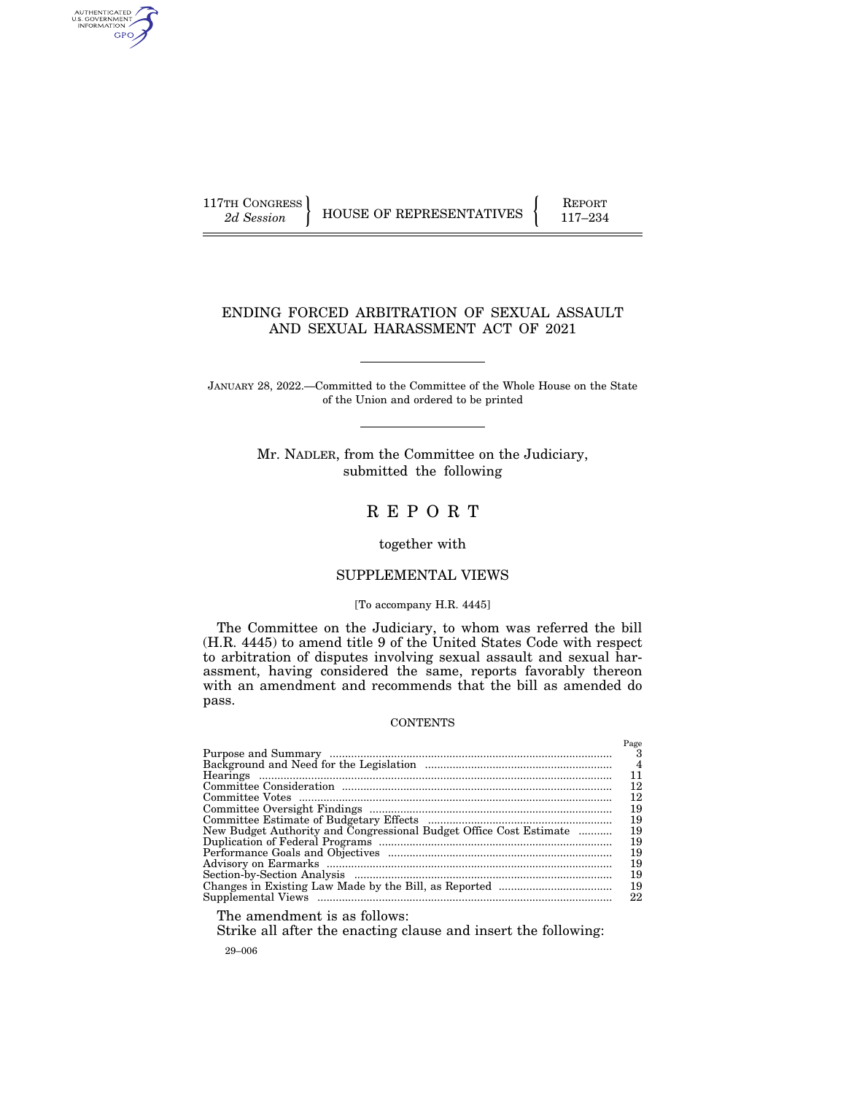AUTHENTICATED<br>U.S. GOVERNMENT<br>INFORMATION GPO

117TH CONGRESS HOUSE OF REPRESENTATIVES FEPORT 117-234

 $D_{\alpha\alpha\alpha}$ 

### ENDING FORCED ARBITRATION OF SEXUAL ASSAULT AND SEXUAL HARASSMENT ACT OF 2021

JANUARY 28, 2022.—Committed to the Committee of the Whole House on the State of the Union and ordered to be printed

> Mr. NADLER, from the Committee on the Judiciary, submitted the following

# R E P O R T

#### together with

#### SUPPLEMENTAL VIEWS

#### [To accompany H.R. 4445]

The Committee on the Judiciary, to whom was referred the bill (H.R. 4445) to amend title 9 of the United States Code with respect to arbitration of disputes involving sexual assault and sexual harassment, having considered the same, reports favorably thereon with an amendment and recommends that the bill as amended do pass.

### **CONTENTS**

|                                                                    | 1 age |
|--------------------------------------------------------------------|-------|
|                                                                    | 4     |
|                                                                    | 11    |
|                                                                    | 12    |
|                                                                    | 12    |
|                                                                    | 19    |
|                                                                    | 19    |
| New Budget Authority and Congressional Budget Office Cost Estimate | 19    |
|                                                                    | 19    |
|                                                                    | 19    |
|                                                                    | 19    |
|                                                                    | 19    |
|                                                                    | 19    |
|                                                                    | 22    |

The amendment is as follows:

Strike all after the enacting clause and insert the following:

29–006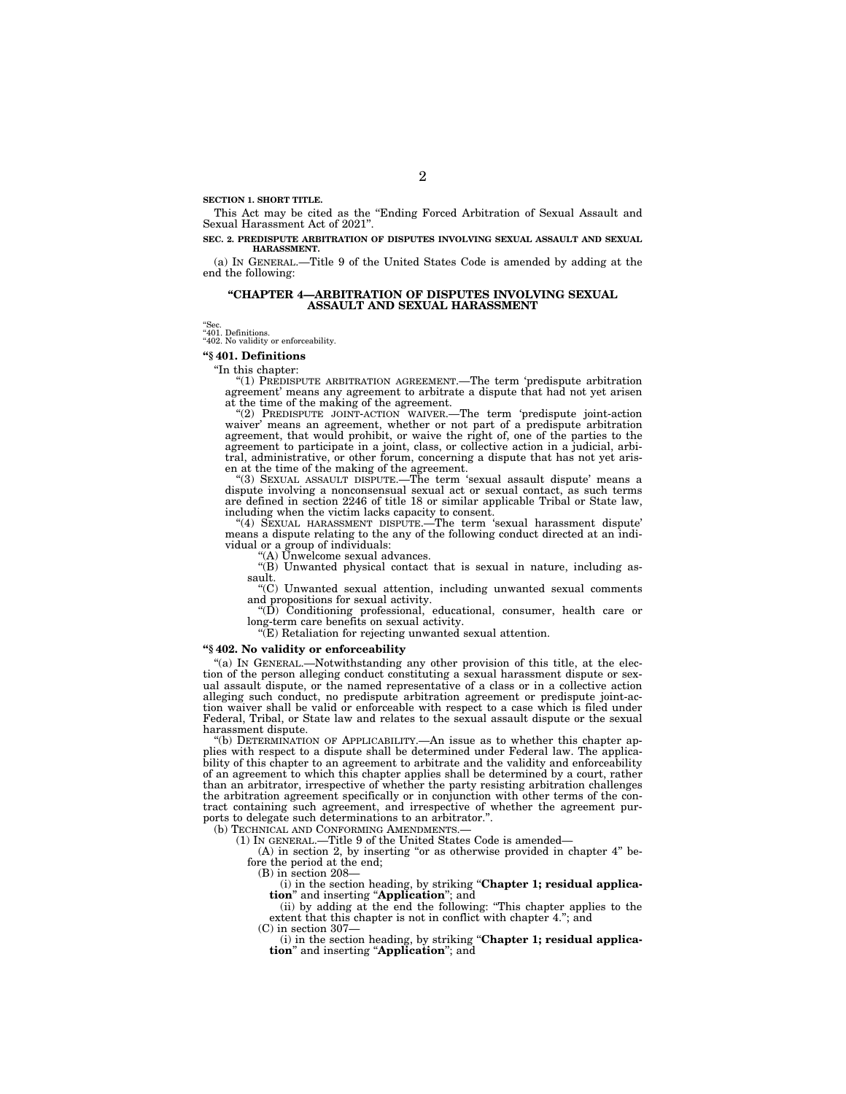**SECTION 1. SHORT TITLE.** 

This Act may be cited as the ''Ending Forced Arbitration of Sexual Assault and Sexual Harassment Act of 2021''.

**SEC. 2. PREDISPUTE ARBITRATION OF DISPUTES INVOLVING SEXUAL ASSAULT AND SEXUAL HARASSMENT.** 

(a) IN GENERAL.—Title 9 of the United States Code is amended by adding at the end the following:

#### **''CHAPTER 4—ARBITRATION OF DISPUTES INVOLVING SEXUAL ASSAULT AND SEXUAL HARASSMENT**

"Sec.<br>"401. Definitions.<br>"402. No validity or enforceability.

**''§ 401. Definitions** 

''In this chapter:

''(1) PREDISPUTE ARBITRATION AGREEMENT.—The term 'predispute arbitration agreement' means any agreement to arbitrate a dispute that had not yet arisen at the time of the making of the agreement.

''(2) PREDISPUTE JOINT-ACTION WAIVER.—The term 'predispute joint-action waiver' means an agreement, whether or not part of a predispute arbitration agreement, that would prohibit, or waive the right of, one of the parties to the agreement to participate in a joint, class, or collective action in a judicial, arbi-tral, administrative, or other forum, concerning a dispute that has not yet arisen at the time of the making of the agreement. ''(3) SEXUAL ASSAULT DISPUTE.—The term 'sexual assault dispute' means a

dispute involving a nonconsensual sexual act or sexual contact, as such terms are defined in section 2246 of title 18 or similar applicable Tribal or State law, including when the victim lacks capacity to consent. ''(4) SEXUAL HARASSMENT DISPUTE.—The term 'sexual harassment dispute'

means a dispute relating to the any of the following conduct directed at an individual or a group of individuals:

''(A) Unwelcome sexual advances.

''(B) Unwanted physical contact that is sexual in nature, including assault.

''(C) Unwanted sexual attention, including unwanted sexual comments and propositions for sexual activity.

''(D) Conditioning professional, educational, consumer, health care or long-term care benefits on sexual activity.

''(E) Retaliation for rejecting unwanted sexual attention.

#### **''§ 402. No validity or enforceability**

''(a) IN GENERAL.—Notwithstanding any other provision of this title, at the election of the person alleging conduct constituting a sexual harassment dispute or sexual assault dispute, or the named representative of a class or in a collective action alleging such conduct, no predispute arbitration agreement or predispute joint-action waiver shall be valid or enforceable with respect to a case which is filed under Federal, Tribal, or State law and relates to the sexual assault dispute or the sexual harassment dispute.

''(b) DETERMINATION OF APPLICABILITY.—An issue as to whether this chapter applies with respect to a dispute shall be determined under Federal law. The applicability of this chapter to an agreement to arbitrate and the validity and enforceability of an agreement to which this chapter applies shall be determined by a court, rather than an arbitrator, irrespective of whether the party resisting arbitration challenges the arbitration agreement specifically or in conjunction with other terms of the contract containing such agreement, and irrespective of whether the agreement purports to delegate such determinations to an arbitrator.''.

(b) TECHNICAL AND CONFORMING AMENDMENTS.

(1) IN GENERAL.—Title 9 of the United States Code is amended—

(A) in section 2, by inserting ''or as otherwise provided in chapter 4'' before the period at the end;

(B) in section 208—

(i) in the section heading, by striking ''**Chapter 1; residual application**'' and inserting ''**Application**''; and

(ii) by adding at the end the following: ''This chapter applies to the extent that this chapter is not in conflict with chapter 4.''; and  $(C)$  in section 307

(i) in the section heading, by striking ''**Chapter 1; residual application**'' and inserting ''**Application**''; and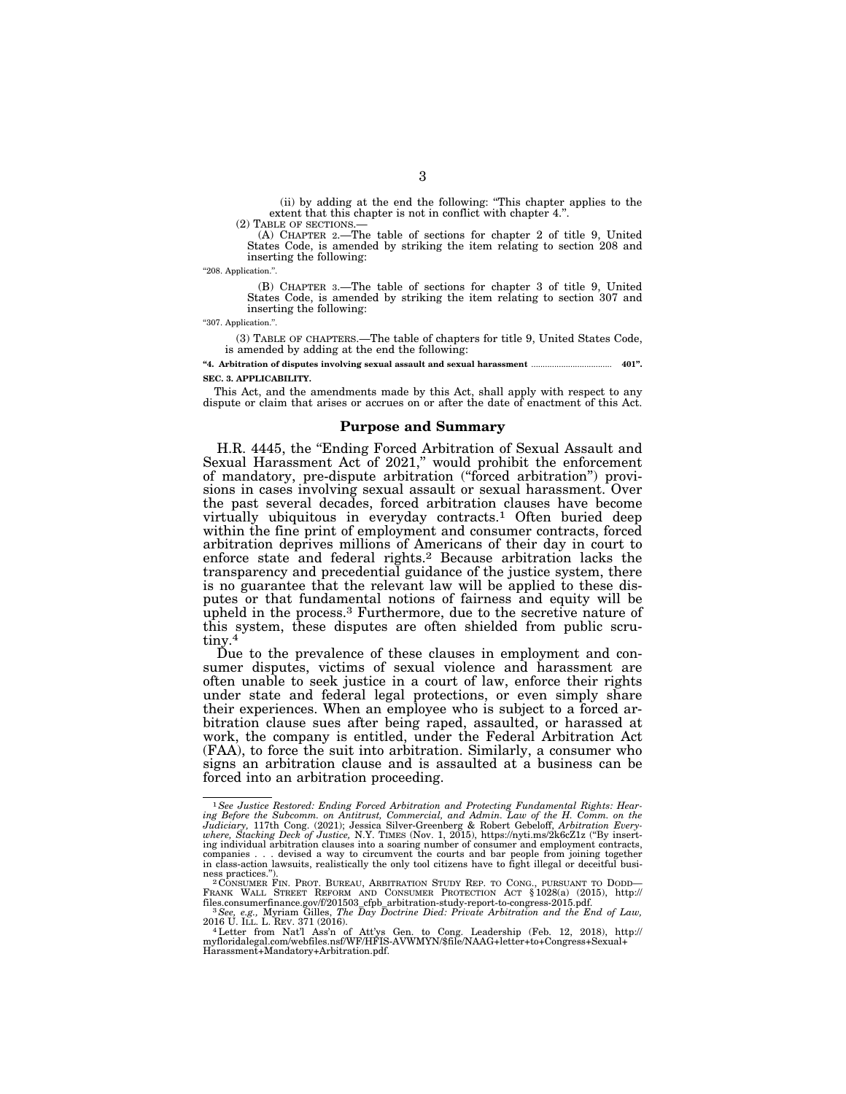(ii) by adding at the end the following: ''This chapter applies to the extent that this chapter is not in conflict with chapter 4."<br>(2) TABLE OF SECTIONS.—

(A) CHAPTER 2.—The table of sections for chapter 2 of title 9. United States Code, is amended by striking the item relating to section 208 and inserting the following:

''208. Application.''.

(B) CHAPTER 3.—The table of sections for chapter 3 of title 9, United States Code, is amended by striking the item relating to section 307 and inserting the following:

''307. Application.''.

(3) TABLE OF CHAPTERS.—The table of chapters for title 9, United States Code, is amended by adding at the end the following:

**''4. Arbitration of disputes involving sexual assault and sexual harassment** ................................... **401''. SEC. 3. APPLICABILITY.** 

This Act, and the amendments made by this Act, shall apply with respect to any dispute or claim that arises or accrues on or after the date of enactment of this Act.

#### **Purpose and Summary**

H.R. 4445, the ''Ending Forced Arbitration of Sexual Assault and Sexual Harassment Act of 2021,'' would prohibit the enforcement of mandatory, pre-dispute arbitration (''forced arbitration'') provisions in cases involving sexual assault or sexual harassment. Over the past several decades, forced arbitration clauses have become virtually ubiquitous in everyday contracts.1 Often buried deep within the fine print of employment and consumer contracts, forced arbitration deprives millions of Americans of their day in court to enforce state and federal rights.2 Because arbitration lacks the transparency and precedential guidance of the justice system, there is no guarantee that the relevant law will be applied to these disputes or that fundamental notions of fairness and equity will be upheld in the process.3 Furthermore, due to the secretive nature of this system, these disputes are often shielded from public scrutiny.4

Due to the prevalence of these clauses in employment and consumer disputes, victims of sexual violence and harassment are often unable to seek justice in a court of law, enforce their rights under state and federal legal protections, or even simply share their experiences. When an employee who is subject to a forced arbitration clause sues after being raped, assaulted, or harassed at work, the company is entitled, under the Federal Arbitration Act (FAA), to force the suit into arbitration. Similarly, a consumer who signs an arbitration clause and is assaulted at a business can be forced into an arbitration proceeding.

<sup>1</sup>*See Justice Restored: Ending Forced Arbitration and Protecting Fundamental Rights: Hear*ing Before the Subcomm. on Antitrust, Commercial, and Admin. Law of the H. Comm. on the<br>Judiciary, 117th Cong. (2021); Jessica Silver-Greenberg & Robert Gebeloff, Arbitration Every-<br>where, Stacking Deck of Justice, N.Y. TI ing individual arbitration clauses into a soaring number of consumer and employment contracts,<br>companies . . . devised a way to circumvent the courts and bar people from joining together<br>in class-action lawsuits, realistic

ness practices.").<br>
<sup>2</sup> CONSUMER FIN. PROT. BUREAU, ARBITRATION STUDY REP. TO CONG., PURSUANT TO DODD—<br>
FRANK WALL STREET REFORM AND CONSUMER PROTECTION ACT § 1028(a) (2015), http://

files.consumerfinance.gov/f/201503\_cfpb\_arbitration-study-report-to-congress-2015.pdf. 3*See, e.g., Myriam Gilles, The Day Doctrine Died: Private Arbitration and the End of Law, 2016 U. ILL. L. REV. 371 (2016).* 

<sup>2016</sup> U. ILL. L. REV. 371 (2016).<br>"Hetter from Nat'l Ass'n of Att'ys Gen. to Cong. Leadership (Feb. 12, 2018), http://<br>myfloridalegal.com/webfiles.nsf/WF/HFIS-AVWMYN/\$file/NAAG+letter+to+Congress+Sexual+ Harassment+Mandatory+Arbitration.pdf.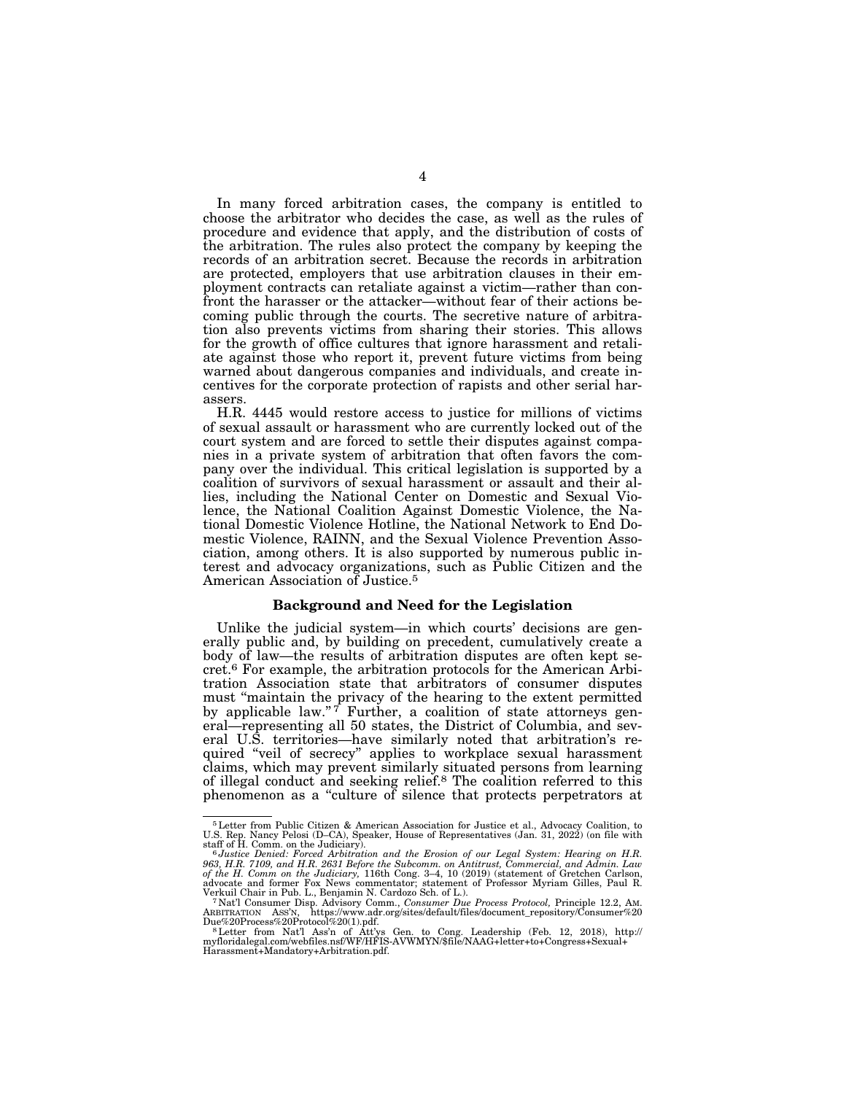In many forced arbitration cases, the company is entitled to choose the arbitrator who decides the case, as well as the rules of procedure and evidence that apply, and the distribution of costs of the arbitration. The rules also protect the company by keeping the records of an arbitration secret. Because the records in arbitration are protected, employers that use arbitration clauses in their employment contracts can retaliate against a victim—rather than confront the harasser or the attacker—without fear of their actions becoming public through the courts. The secretive nature of arbitration also prevents victims from sharing their stories. This allows for the growth of office cultures that ignore harassment and retaliate against those who report it, prevent future victims from being warned about dangerous companies and individuals, and create incentives for the corporate protection of rapists and other serial harassers.

H.R. 4445 would restore access to justice for millions of victims of sexual assault or harassment who are currently locked out of the court system and are forced to settle their disputes against companies in a private system of arbitration that often favors the company over the individual. This critical legislation is supported by a coalition of survivors of sexual harassment or assault and their allies, including the National Center on Domestic and Sexual Violence, the National Coalition Against Domestic Violence, the National Domestic Violence Hotline, the National Network to End Domestic Violence, RAINN, and the Sexual Violence Prevention Association, among others. It is also supported by numerous public interest and advocacy organizations, such as Public Citizen and the American Association of Justice.5

#### **Background and Need for the Legislation**

Unlike the judicial system—in which courts' decisions are generally public and, by building on precedent, cumulatively create a body of law—the results of arbitration disputes are often kept secret.6 For example, the arbitration protocols for the American Arbitration Association state that arbitrators of consumer disputes must ''maintain the privacy of the hearing to the extent permitted by applicable law."<sup>7</sup> Further, a coalition of state attorneys general—representing all 50 states, the District of Columbia, and several U.S. territories—have similarly noted that arbitration's required ''veil of secrecy'' applies to workplace sexual harassment claims, which may prevent similarly situated persons from learning of illegal conduct and seeking relief.8 The coalition referred to this phenomenon as a ''culture of silence that protects perpetrators at

<sup>5</sup>Letter from Public Citizen & American Association for Justice et al., Advocacy Coalition, to U.S. Rep. Nancy Pelosi (D–CA), Speaker, House of Representatives (Jan. 31, 2022) (on file with

staff of H. Comm. on the Judiciary).<br>" Justice Denied: Forced Arbitration and the Erosion of our Legal System: Hearing on H.R.<br>963, H.R. 7109, and H.R. 2631 Before the Subcomm. on Antitrust, Commercial, and Admin. Law *of the H. Comm on the Judiciary,* 116th Cong. 3–4, 10 (2019) (statement of Gretchen Carlson, advocate and former Fox News commentator; statement of Professor Myriam Gilles, Paul R.

TNat'l Consumer Disp. Advisory Comm., Consumer Due Process Protocol, Principle 12.2, AM.<br>ARBITRATION ASS'N, https://www.adr.org/sites/default/files/document\_repository/Consumer%20<br>Due%20Process%20Protocol%20(1).pdf.

Due%20Process%20Protocol%20(1).pdf.<br><sup>8</sup> Letter from Nat'l Ass'n of Att'ys Gen. to Cong. Leadership (Feb. 12, 2018), http://<br>myfloridalegal.com/webfiles.nsf/WF/HFIS-AVWMYN/\$file/NAAG+letter+to+Congress+Sexual+ Harassment+Mandatory+Arbitration.pdf.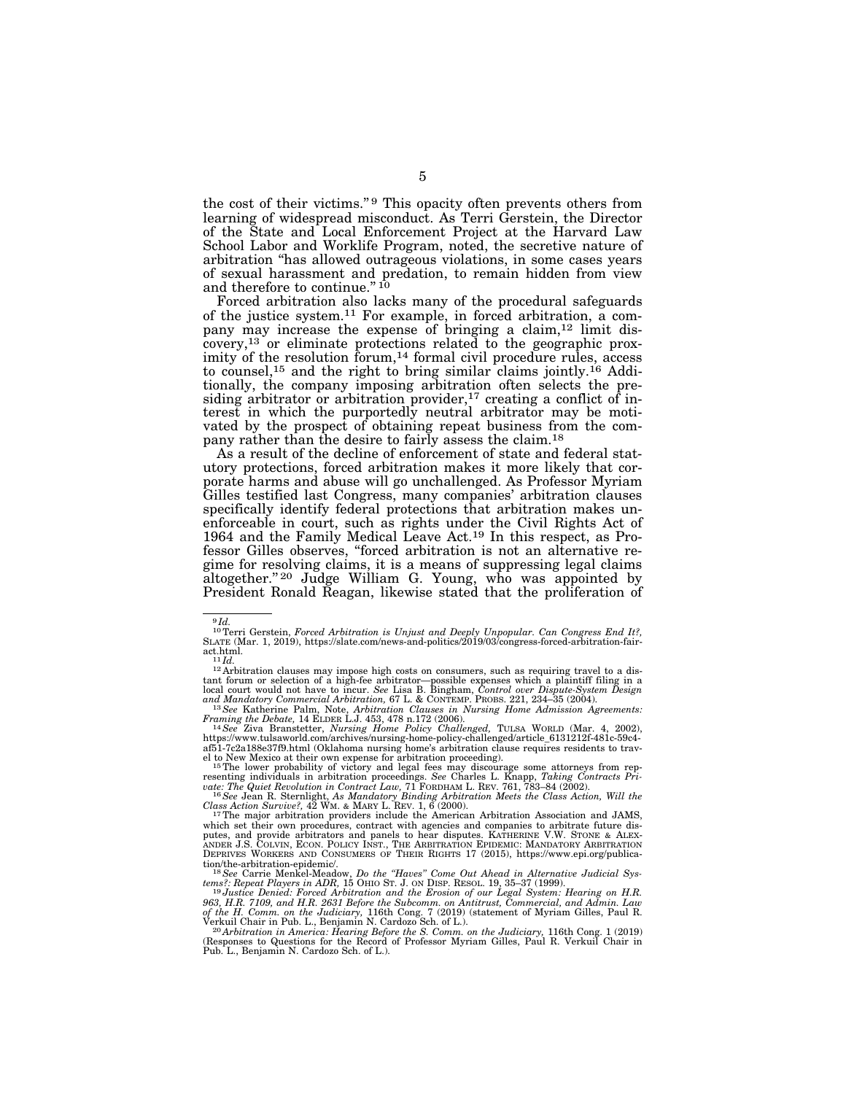the cost of their victims."<sup>9</sup> This opacity often prevents others from learning of widespread misconduct. As Terri Gerstein, the Director of the State and Local Enforcement Project at the Harvard Law School Labor and Worklife Program, noted, the secretive nature of arbitration ''has allowed outrageous violations, in some cases years of sexual harassment and predation, to remain hidden from view and therefore to continue." 10

Forced arbitration also lacks many of the procedural safeguards of the justice system.11 For example, in forced arbitration, a company may increase the expense of bringing a claim,<sup>12</sup> limit discovery,13 or eliminate protections related to the geographic proximity of the resolution forum,<sup>14</sup> formal civil procedure rules, access to counsel,15 and the right to bring similar claims jointly.16 Additionally, the company imposing arbitration often selects the presiding arbitrator or arbitration provider,<sup>17</sup> creating a conflict of interest in which the purportedly neutral arbitrator may be motivated by the prospect of obtaining repeat business from the company rather than the desire to fairly assess the claim.18

As a result of the decline of enforcement of state and federal statutory protections, forced arbitration makes it more likely that corporate harms and abuse will go unchallenged. As Professor Myriam Gilles testified last Congress, many companies' arbitration clauses specifically identify federal protections that arbitration makes unenforceable in court, such as rights under the Civil Rights Act of 1964 and the Family Medical Leave Act.19 In this respect, as Professor Gilles observes, ''forced arbitration is not an alternative regime for resolving claims, it is a means of suppressing legal claims altogether."<sup>20</sup> Judge William G. Young, who was appointed by President Ronald Reagan, likewise stated that the proliferation of

*Framing the Debate,* 14 ELDER L.J. 453, 478 n.172 (2006). 14*See* Ziva Branstetter, *Nursing Home Policy Challenged,* TULSA WORLD (Mar. 4, 2002),

<sup>9</sup> *Id.*  10Terri Gerstein, *Forced Arbitration is Unjust and Deeply Unpopular. Can Congress End It?,*  SLATE (Mar. 1, 2019), https://slate.com/news-and-politics/2019/03/congress-forced-arbitration-fairact.html.<br><sup>11</sup>*Id.*<br><sup>12</sup> Arbitration clauses may impose high costs on consumers, such as requiring travel to a dis-

tant forum or selection of a high-fee arbitrator—possible expenses which a plaintiff filing in a local court would not have to incur. *See* Lisa B. Bingham, *Control over Dispute-System Design and Mandatory Commercial Arbitration,* 67 L. & CONTEMP. PROBS. 221, 234–35 (2004). 13*See* Katherine Palm, Note, *Arbitration Clauses in Nursing Home Admission Agreements:* 

https://www.tulsaworld.com/archives/nursing-home-policy-challenged/article\_6131212f-481c-59c4- af51-7c2a188e37f9.html (Oklahoma nursing home's arbitration clause requires residents to trav-

el to New Mexico at their own expense for arbitration proceeding).<br><sup>15</sup>The lower probability of victory and legal fees may discourage some attorneys from rep-<br>resenting individuals in arbitration proceedings. *See* Charles *vate: The Quiet Revolution in Contract Law,* 71 FORDHAM L. REV. 761, 783–84 (2002). 16*See* Jean R. Sternlight, *As Mandatory Binding Arbitration Meets the Class Action, Will the* 

*Class Action Survive?,* 42 WM. & MARY L. REV. 1, 6 (2000). 17The major arbitration providers include the American Arbitration Association and JAMS,

which set their own procedures, contract with agencies and companies to arbitrate future dis-putes, and provide arbitrators and panels to hear disputes. KATHERINE V.W. STONE & ALEX- ANDER J.S. COLVIN, ECON. POLICY INST., THE ARBITRATION EPIDEMIC: MANDATORY ARBITRATION DEPRIVES WORKERS AND CONSUMERS OF THEIR RIGHTS 17 (2015), https://www.epi.org/publication/the-arbitration-epidemic/. 18*See* Carrie Menkel-Meadow, *Do the ''Haves'' Come Out Ahead in Alternative Judicial Sys-*

*tems?: Repeat Players in ADR,* 15 OHIO ST. J. ON DISP. RESOL. 19, 35–37 (1999). 19*Justice Denied: Forced Arbitration and the Erosion of our Legal System: Hearing on H.R.* 

<sup>963,</sup> H.R. 7109, and H.R. 2631 Before the Subcomm. on Antitrust, Commercial, and Admin. Law<br>of the H. Comm. on the Judiciary, 116th Cong. 7 (2019) (statement of Myriam Gilles, Paul R.<br>Verkuil Chair in Pub. L., Benjamin N. C

Pub. L., Benjamin N. Cardozo Sch. of L.).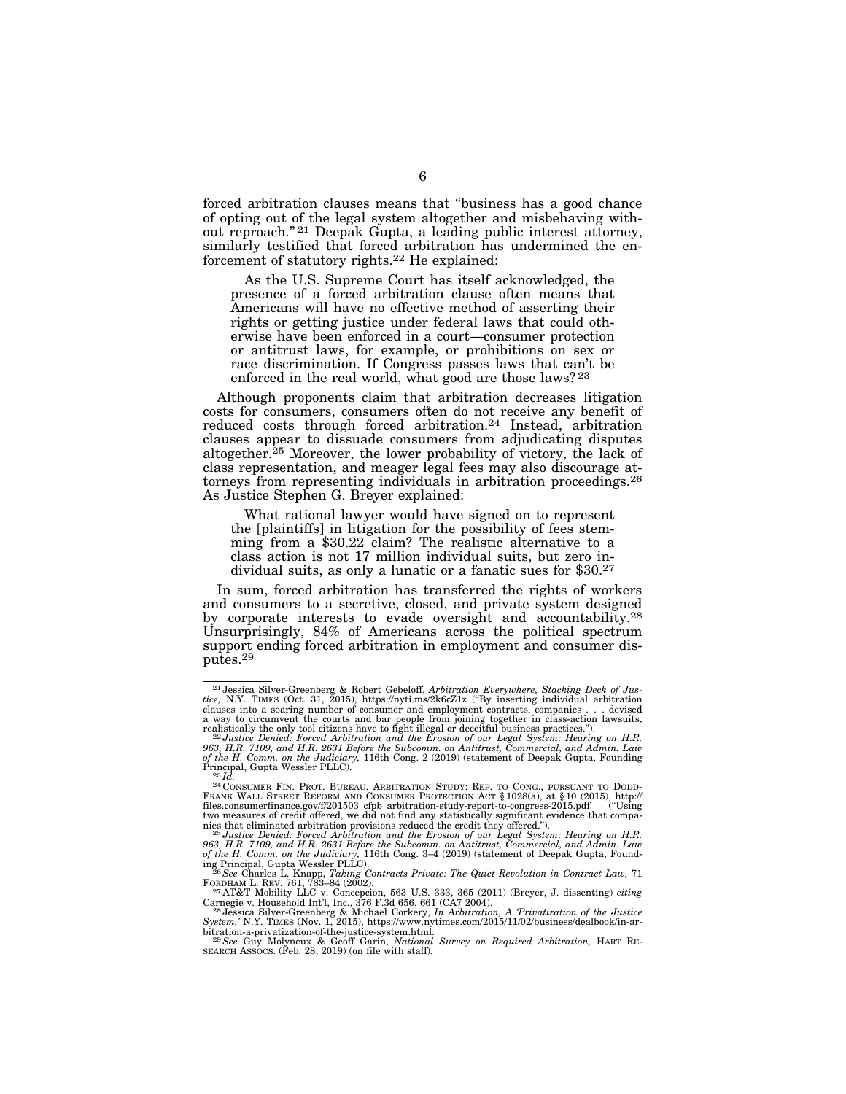forced arbitration clauses means that ''business has a good chance of opting out of the legal system altogether and misbehaving without reproach."<sup>21</sup> Deepak Gupta, a leading public interest attorney, similarly testified that forced arbitration has undermined the enforcement of statutory rights.22 He explained:

As the U.S. Supreme Court has itself acknowledged, the presence of a forced arbitration clause often means that Americans will have no effective method of asserting their rights or getting justice under federal laws that could otherwise have been enforced in a court—consumer protection or antitrust laws, for example, or prohibitions on sex or race discrimination. If Congress passes laws that can't be enforced in the real world, what good are those laws? 23

Although proponents claim that arbitration decreases litigation costs for consumers, consumers often do not receive any benefit of reduced costs through forced arbitration.<sup>24</sup> Instead, arbitration clauses appear to dissuade consumers from adjudicating disputes altogether.25 Moreover, the lower probability of victory, the lack of class representation, and meager legal fees may also discourage attorneys from representing individuals in arbitration proceedings.26 As Justice Stephen G. Breyer explained:

What rational lawyer would have signed on to represent the [plaintiffs] in litigation for the possibility of fees stemming from a \$30.22 claim? The realistic alternative to a class action is not 17 million individual suits, but zero individual suits, as only a lunatic or a fanatic sues for \$30.27

In sum, forced arbitration has transferred the rights of workers and consumers to a secretive, closed, and private system designed by corporate interests to evade oversight and accountability.28 Unsurprisingly, 84% of Americans across the political spectrum support ending forced arbitration in employment and consumer disputes.29

<sup>&</sup>lt;sup>21</sup> Jessica Silver-Greenberg & Robert Gebeloff, *Arbitration Everywhere, Stacking Deck of Justice*, N.Y. TIMES (Oct. 31, 2015), https://nyti.ms/2k6cZ1z ("By inserting individual arbitration clauses into a soaring number

realistically the only tool citizens have to fight illegal or deceitful business practices.").<br><sup>22 J</sup>ustice Denied: Forced Arbitration and the Erosion of our Legal System: Hearing on H.R.<br>963, H.R. 7109, and H.R. 2631 Befo *of the H. Comm. on the Judiciary,* 116th Cong. 2 (2019) (statement of Deepak Gupta, Founding<br>Principal, Gupta Wessler PLLC).<br><sup>23</sup>*Id.* 

Principal, Gupta Wessler PLLC).<br><sup>23</sup>Id.<br>PLOONSUMER FIN. PROT. BUREAU, ARBITRATION STUDY: REP. TO CONG., PURSUANT TO DODD-<br>PRANK WALL STREET REFORM AND CONSUMER PROTECTION ACT § 1028(a), at § 10 (2015), http://<br>files.consum two measures of credit offered, we did not find any statistically significant evidence that companies that companies that companies that companies that eliminated arbitration provisions reduced the credit they offered.").

<sup>963,</sup> H.R. 7109, and H.R. 2631 Before the Subcomm. on Antitrust, Commercial, and Admin. Law<br>of the H. Comm. on the Judiciary, 116th Cong. 3–4 (2019) (statement of Deepak Gupta, Found-<br>ing Principal, Gupta Wessler PLLC).<br><sup>28</sup>

FORDHAM L. REV. 761, 783–84 (2002). 27 AT&T Mobility LLC v. Concepcion, 563 U.S. 333, 365 (2011) (Breyer, J. dissenting) *citing* 

Carnegie v. Household Int'l, Inc., 376 F.3d 656, 661 (CA7 2004).<br><sup>28</sup> Jessica Silver-Greenberg & Michael Corkery, *In Arbitration, A 'Privatization of the Justice*<br>Sys*tem*,' N.Y. TIMES (Nov. 1, 2015), https://www.nytimes.

bitration-a-privatization-of-the-justice-system.html. 29*See* Guy Molyneux & Geoff Garin, *National Survey on Required Arbitration,* HART RE-SEARCH ASSOCS. (Feb. 28, 2019) (on file with staff).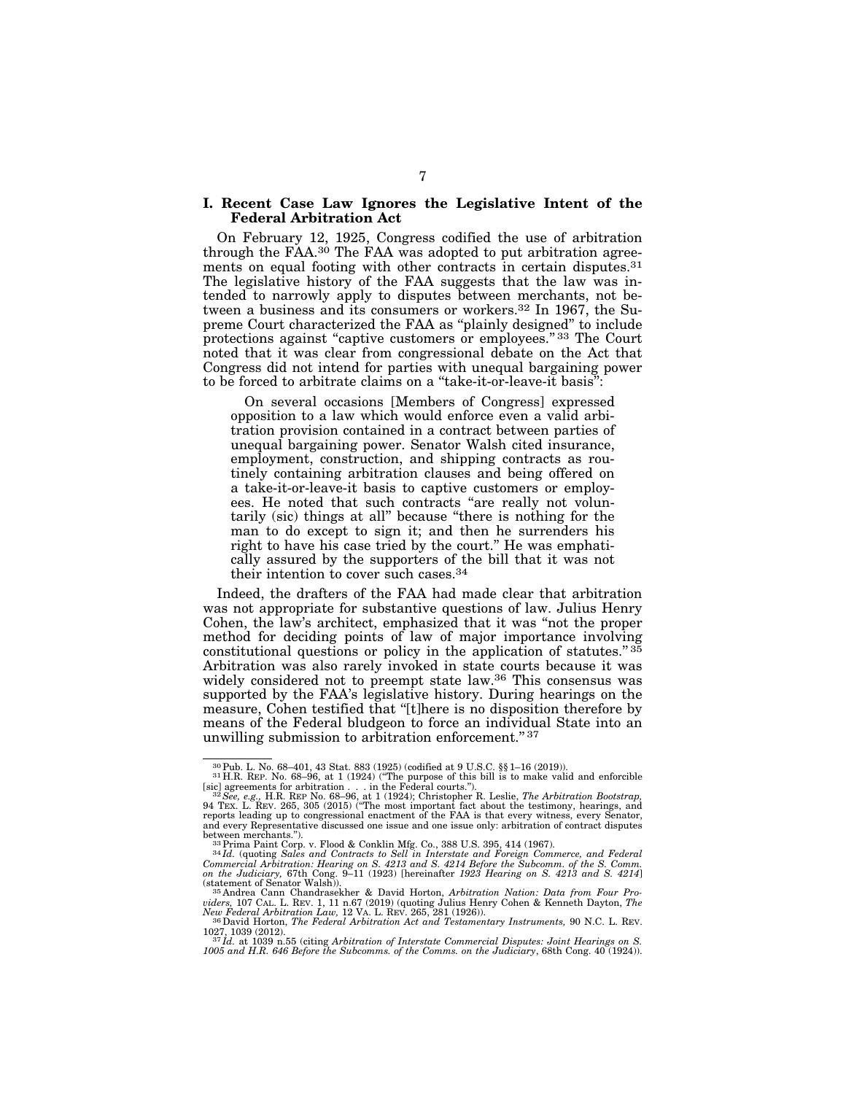#### **I. Recent Case Law Ignores the Legislative Intent of the Federal Arbitration Act**

On February 12, 1925, Congress codified the use of arbitration through the FAA.<sup>30</sup> The FAA was adopted to put arbitration agreements on equal footing with other contracts in certain disputes.<sup>31</sup> The legislative history of the FAA suggests that the law was intended to narrowly apply to disputes between merchants, not between a business and its consumers or workers.32 In 1967, the Supreme Court characterized the FAA as ''plainly designed'' to include protections against "captive customers or employees."<sup>33</sup> The Court noted that it was clear from congressional debate on the Act that Congress did not intend for parties with unequal bargaining power to be forced to arbitrate claims on a ''take-it-or-leave-it basis'':

On several occasions [Members of Congress] expressed opposition to a law which would enforce even a valid arbitration provision contained in a contract between parties of unequal bargaining power. Senator Walsh cited insurance, employment, construction, and shipping contracts as routinely containing arbitration clauses and being offered on a take-it-or-leave-it basis to captive customers or employees. He noted that such contracts "are really not voluntarily (sic) things at all'' because ''there is nothing for the man to do except to sign it; and then he surrenders his right to have his case tried by the court.'' He was emphatically assured by the supporters of the bill that it was not their intention to cover such cases.34

Indeed, the drafters of the FAA had made clear that arbitration was not appropriate for substantive questions of law. Julius Henry Cohen, the law's architect, emphasized that it was ''not the proper method for deciding points of law of major importance involving constitutional questions or policy in the application of statutes."  $35$ Arbitration was also rarely invoked in state courts because it was widely considered not to preempt state law.<sup>36</sup> This consensus was supported by the FAA's legislative history. During hearings on the measure, Cohen testified that ''[t]here is no disposition therefore by means of the Federal bludgeon to force an individual State into an unwilling submission to arbitration enforcement.'' 37

<sup>30</sup>Pub. L. No. 68–401, 43 Stat. 883 (1925) (codified at 9 U.S.C. §§ 1–16 (2019)). 31 H.R. REP. No. 68–96, at 1 (1924) (''The purpose of this bill is to make valid and enforcible

<sup>[</sup>sic] agreements for arbitration . . . in the Federal courts.").<br><sup>32</sup>See, e.g., H.R. REP No. 68–96, at 1 (1924); Christopher R. Leslie, *The Arbitration Bootstrap,*<br>94 TEX. L. REV. 265, 305 (2015) ("The most important fact reports leading up to congressional enactment of the FAA is that every witness, every Senator, and every Representative discussed one issue and one issue only: arbitration of contract disputes between merchants.").

between merchants.").<br><sup>33</sup>Hrima Paint Corp. v. Flood & Conklin Mfg. Co., 388 U.S. 395, 414 (1967).<br><sup>34</sup>Hd. (quoting Sales and Contracts to Sell in Interstate and Foreign Commerce, and Federal<br>Commercial Arbitration: Hearin on the Judiciary, 67th Cong. 9–11 (1923) [hereinafter *1923 Hearing on S. 4213 and S. 4214*]<br>(statement of Senator Walsh)).<br><sup>35</sup>Andrea Cann Chandrasekher & David Horton, *Arbitration Nation: Data from Four Pro-*

*viders,* 107 CAL. L. REV. 1, 11 n.67 (2019) (quoting Julius Henry Cohen & Kenneth Dayton, *The* 

<sup>&</sup>lt;sup>36</sup> David Horton, *The Federal Arbitration Act and Testamentary Instruments*, 90 N.C. L. REV.

<sup>1027, 1039 (2012).&</sup>lt;br><sup>37</sup>1*d.* at 1039 n.55 (citing Arbitration of Interstate Commercial Disputes: Joint Hearings on S.<br>1005 and H.R. 646 Before the Subcomms. of the Comms. on the Judiciary, 68th Cong. 40 (1924)).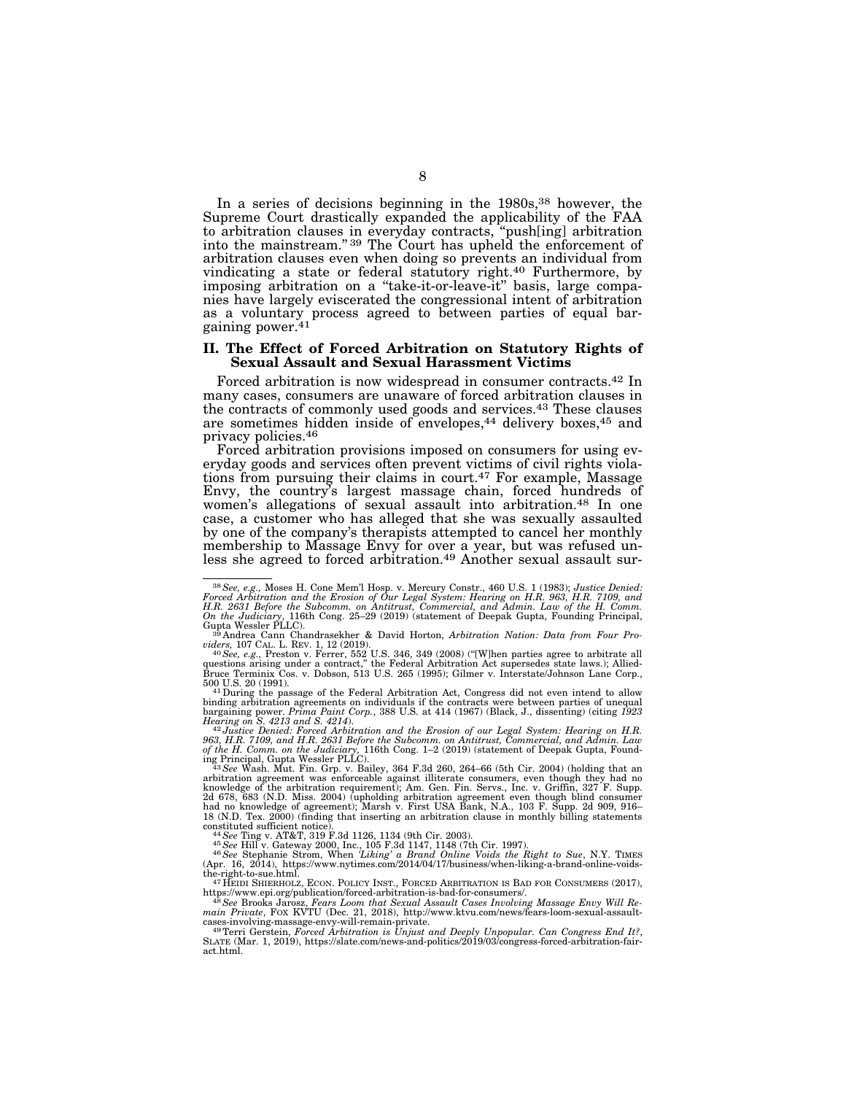In a series of decisions beginning in the 1980s,<sup>38</sup> however, the Supreme Court drastically expanded the applicability of the FAA to arbitration clauses in everyday contracts, ''push[ing] arbitration into the mainstream.'' 39 The Court has upheld the enforcement of arbitration clauses even when doing so prevents an individual from vindicating a state or federal statutory right.40 Furthermore, by imposing arbitration on a ''take-it-or-leave-it'' basis, large companies have largely eviscerated the congressional intent of arbitration as a voluntary process agreed to between parties of equal bargaining power.<sup>41</sup>

#### **II. The Effect of Forced Arbitration on Statutory Rights of Sexual Assault and Sexual Harassment Victims**

Forced arbitration is now widespread in consumer contracts.42 In many cases, consumers are unaware of forced arbitration clauses in the contracts of commonly used goods and services.43 These clauses are sometimes hidden inside of envelopes,<sup>44</sup> delivery boxes,<sup>45</sup> and privacy policies.46

Forced arbitration provisions imposed on consumers for using everyday goods and services often prevent victims of civil rights violations from pursuing their claims in court.47 For example, Massage Envy, the country's largest massage chain, forced hundreds of women's allegations of sexual assault into arbitration.48 In one case, a customer who has alleged that she was sexually assaulted by one of the company's therapists attempted to cancel her monthly membership to Massage Envy for over a year, but was refused unless she agreed to forced arbitration.<sup>49</sup> Another sexual assault sur-

500 U.S. 20 (1991).<br><sup>41</sup> During the passage of the Federal Arbitration Act, Congress did not even intend to allow<br>binding arbitration agreements on individuals if the contracts were between parties of unequal<br>bargaining p

Hearing on S. 4213 and S. 4214).<br>"<sup>42</sup>Justice Denied: Forced Arbitration and the Erosion of our Legal System: Hearing on H.R.<br>963, H.R. 7109, and H.R. 2631 Before the Subcomm. on Antitrust, Commercial, and Admin. Law of the H. Comm. on the Judiciary, 116th Cong. 1–2 (2019) (statement of Deepak Gupta, Found-<br>ing Principal, Gupta Wessler PLLC).<br>- <sup>43</sup> See Wash. Mut. Fin. Grp. v. Bailey, 364 F.3d 260, 264–66 (5th Cir. 2004) (holding that

arbitration agreement was enforceable against illiterate consumers, even though they had no<br>knowledge of the arbitration requirement); Am. Gen. Fin. Servs., Inc. v. Griffin, 327 F. Supp.<br>2d 678, 683 (N.D. Miss. 2004) (upho

constituted sufficient notice).<br>
<sup>44</sup> See Ting v. AT&T, 319 F.3d 1126, 1134 (9th Cir. 2003).<br>
<sup>45</sup> See Hill v. Gateway 2000, Inc., 105 F.3d 1147, 1148 (7th Cir. 1997).<br>
<sup>45</sup> See Stephanie Strom, When *'Liking' a Brand Onli* 

the-right-to-sue.html. 47 HEIDI SHIERHOLZ, ECON. POLICY INST., FORCED ARBITRATION IS BAD FOR CONSUMERS (2017), https://www.epi.org/publication/forced-arbitration-is-bad-for-consumers/.

https://www.epi.org/publication/forced-arbitration-is-bad-for-consumers/.<br>  $^{48}$ See Brooks Jarosz, Fears Loom that Sexual Assault Cases Involving Massage Envy Will Re-<br>  $main$  Priorite, Fox KVTU (Dec. 21, 2018), http://www

act.html.

<sup>&</sup>lt;sup>38</sup> See, e.g., Moses H. Cone Mem'l Hosp. v. Mercury Constr., 460 U.S. 1 (1983); *Justice Denied:* Forced Arbitration and the Erosion of Our Legal System: Hearing on H.R. 963, H.R. 7109, and H.R. 2631 Before the Subcomm.

viders, 107 CAL. L. REV. 1, 12 (2019).<br><sup>40</sup> See, e.g., Preston v. Ferrer, 552 U.S. 346, 349 (2008) ("[W]hen parties agree to arbitrate all<br>questions arising under a contract," the Federal Arbitration Act supersedes state l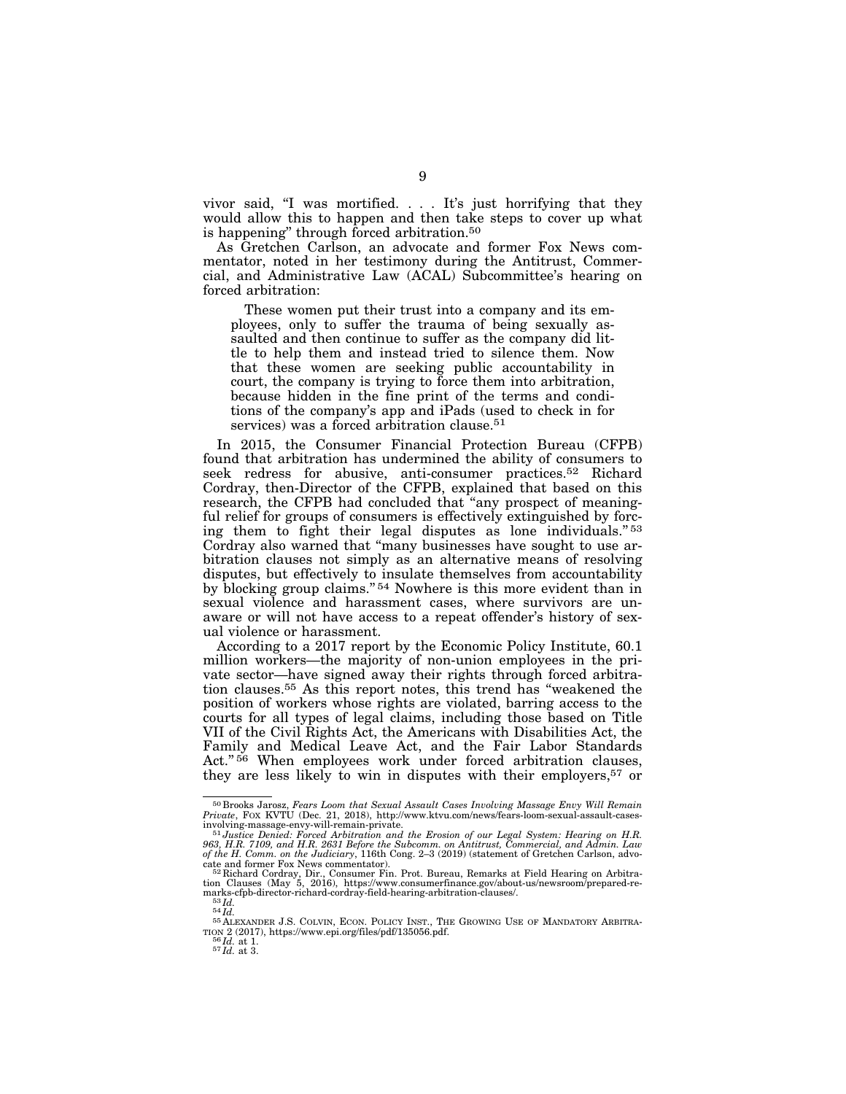vivor said, ''I was mortified. . . . It's just horrifying that they would allow this to happen and then take steps to cover up what is happening'' through forced arbitration.50

As Gretchen Carlson, an advocate and former Fox News commentator, noted in her testimony during the Antitrust, Commercial, and Administrative Law (ACAL) Subcommittee's hearing on forced arbitration:

These women put their trust into a company and its employees, only to suffer the trauma of being sexually assaulted and then continue to suffer as the company did little to help them and instead tried to silence them. Now that these women are seeking public accountability in court, the company is trying to force them into arbitration, because hidden in the fine print of the terms and conditions of the company's app and iPads (used to check in for services) was a forced arbitration clause.<sup>51</sup>

In 2015, the Consumer Financial Protection Bureau (CFPB) found that arbitration has undermined the ability of consumers to seek redress for abusive, anti-consumer practices.52 Richard Cordray, then-Director of the CFPB, explained that based on this research, the CFPB had concluded that "any prospect of meaningful relief for groups of consumers is effectively extinguished by forcing them to fight their legal disputes as lone individuals."<sup>53</sup> Cordray also warned that ''many businesses have sought to use arbitration clauses not simply as an alternative means of resolving disputes, but effectively to insulate themselves from accountability by blocking group claims."<sup>54</sup> Nowhere is this more evident than in sexual violence and harassment cases, where survivors are unaware or will not have access to a repeat offender's history of sexual violence or harassment.

According to a 2017 report by the Economic Policy Institute, 60.1 million workers—the majority of non-union employees in the private sector—have signed away their rights through forced arbitration clauses.55 As this report notes, this trend has ''weakened the position of workers whose rights are violated, barring access to the courts for all types of legal claims, including those based on Title VII of the Civil Rights Act, the Americans with Disabilities Act, the Family and Medical Leave Act, and the Fair Labor Standards Act."<sup>56</sup> When employees work under forced arbitration clauses, they are less likely to win in disputes with their employers,<sup>57</sup> or

<sup>50</sup> Brooks Jarosz, *Fears Loom that Sexual Assault Cases Involving Massage Envy Will Remain Private*, FOX KVTU (Dec. 21, 2018), http://www.ktvu.com/news/fears-loom-sexual-assault-casesinvolving-massage-envy-will-remain-private. 51*Justice Denied: Forced Arbitration and the Erosion of our Legal System: Hearing on H.R.* 

*<sup>963,</sup> H.R. 7109, and H.R. 2631 Before the Subcomm. on Antitrust, Commercial, and Admin. Law of the H. Comm. on the Judiciary*, 116th Cong. 2–3 (2019) (statement of Gretchen Carlson, advo-

cate and former Fox News commentator).<br>  $52$  Richard Cordray, Dir., Consumer Fin. Prot. Bureau, Remarks at Field Hearing on Arbitra-<br>
tion Clauses (May 5, 2016), https://www.consumerfinance.gov/about-us/newsroom/prepared-

TION 2 (2017), https://www.epi.org/files/pdf/135056.pdf. 56 *Id.* at 1. 57 *Id.* at 3.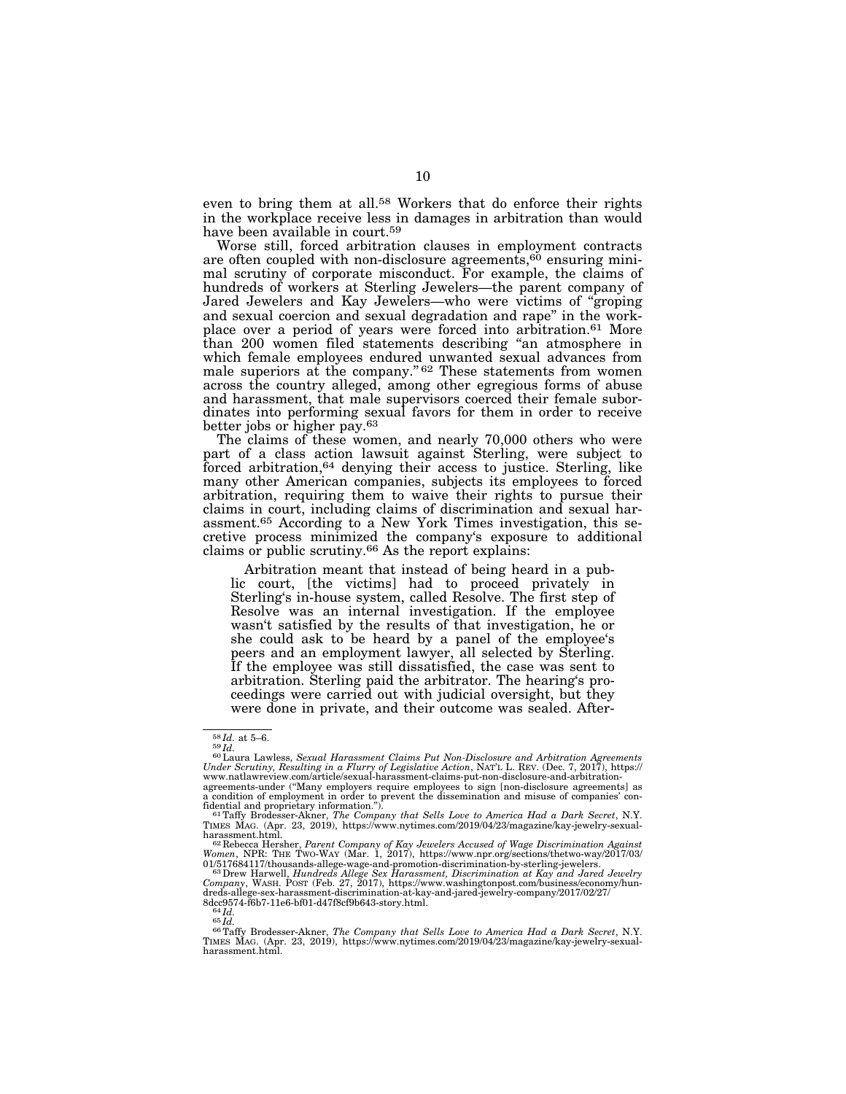even to bring them at all.<sup>58</sup> Workers that do enforce their rights in the workplace receive less in damages in arbitration than would have been available in court.<sup>59</sup>

Worse still, forced arbitration clauses in employment contracts are often coupled with non-disclosure agreements,<sup>60</sup> ensuring minimal scrutiny of corporate misconduct. For example, the claims of hundreds of workers at Sterling Jewelers—the parent company of Jared Jewelers and Kay Jewelers—who were victims of ''groping and sexual coercion and sexual degradation and rape'' in the workplace over a period of years were forced into arbitration.<sup>61</sup> More than 200 women filed statements describing ''an atmosphere in which female employees endured unwanted sexual advances from male superiors at the company."<sup>62</sup> These statements from women across the country alleged, among other egregious forms of abuse and harassment, that male supervisors coerced their female subordinates into performing sexual favors for them in order to receive better jobs or higher pay.63

The claims of these women, and nearly 70,000 others who were part of a class action lawsuit against Sterling, were subject to forced arbitration,64 denying their access to justice. Sterling, like many other American companies, subjects its employees to forced arbitration, requiring them to waive their rights to pursue their claims in court, including claims of discrimination and sexual harassment.65 According to a New York Times investigation, this secretive process minimized the company's exposure to additional claims or public scrutiny.66 As the report explains:

Arbitration meant that instead of being heard in a public court, [the victims] had to proceed privately in Sterling's in-house system, called Resolve. The first step of Resolve was an internal investigation. If the employee wasn't satisfied by the results of that investigation, he or she could ask to be heard by a panel of the employee's peers and an employment lawyer, all selected by Sterling. If the employee was still dissatisfied, the case was sent to arbitration. Sterling paid the arbitrator. The hearing's proceedings were carried out with judicial oversight, but they were done in private, and their outcome was sealed. After-

<sup>&</sup>lt;sup>58</sup>*Id.* at 5–6.<br><sup>59</sup>*Id.*<br><sup>60</sup> Laura Lawless, *Sexual Harassment Claims Put Non-Disclosure and Arbitration Agreements*<br>*Under Scrutiny, Resulting in a Flurry of Legislative Action, NATL L. REV. (Dec. 7, 2017), https://* agreements-under (''Many employers require employees to sign [non-disclosure agreements] as

 $\frac{1}{2}$  condition of employment in order to prevent the dissemination and misuse of companies' con-<br>fidential and proprietary information.").

fidential and proprietary information.").<br>" <sup>1 T</sup>Raffy Brodesser-Akner, *The Company that Sells Love to America Had a Dark Secret*, N.Y.<br>TIMES MAG. (Apr. 23, 2019), https://www.nytimes.com/2019/04/23/magazine/kay-jewelry-s

harassment.html.<br><sup>62</sup> Rebecca Hersher, *Parent Company of Kay Jewelers Accused of Wage Discrimination Against*<br>*Women*, NPR: THE Two-WAY (Mar. 1, 2017), https://www.npr.org/sections/thetwo-way/2017/03/

<sup>01/517684117/</sup>thousands-allege-wage-and-promotion-discrimination-by-sterling-jewelers.<br><sup>63</sup> Drew Harwell, *Hundreds Allege Sex Harass/ment, Discrimination at Kay and Jared Jewelry*<br>Company, WASH. POST (Feb. 27, 2017), http

<sup>8</sup>dcc9574-f6b7-11e6-bf01-d47f8cf9b643-story.html.<br><sup>64</sup>Id.<br><sup>65</sup>Id. e<sup>6</sup>Native Brodesser-Akner, *The Company that Sells Love to America Had a Dark Secret*, N.Y.<br><sup>66</sup>Taffy Brodesser-Akner, *The Company that Sells Love to Ameri* harassment.html.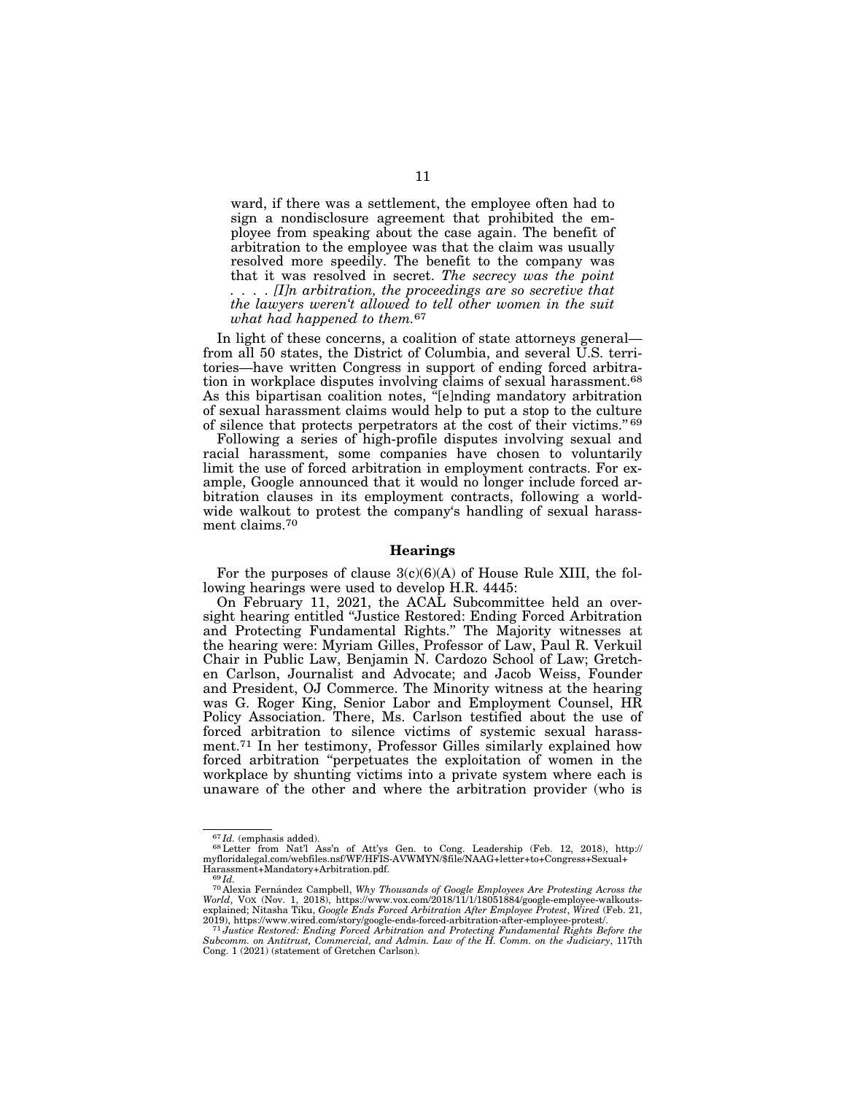ward, if there was a settlement, the employee often had to sign a nondisclosure agreement that prohibited the employee from speaking about the case again. The benefit of arbitration to the employee was that the claim was usually resolved more speedily. The benefit to the company was that it was resolved in secret. *The secrecy was the point . . . . [I]n arbitration, the proceedings are so secretive that the lawyers weren't allowed to tell other women in the suit what had happened to them.*67

In light of these concerns, a coalition of state attorneys general from all 50 states, the District of Columbia, and several U.S. territories—have written Congress in support of ending forced arbitration in workplace disputes involving claims of sexual harassment.68 As this bipartisan coalition notes, ''[e]nding mandatory arbitration of sexual harassment claims would help to put a stop to the culture of silence that protects perpetrators at the cost of their victims.'' 69

Following a series of high-profile disputes involving sexual and racial harassment, some companies have chosen to voluntarily limit the use of forced arbitration in employment contracts. For example, Google announced that it would no longer include forced arbitration clauses in its employment contracts, following a worldwide walkout to protest the company's handling of sexual harassment claims.70

#### **Hearings**

For the purposes of clause  $3(c)(6)(A)$  of House Rule XIII, the following hearings were used to develop H.R. 4445:

On February 11, 2021, the ACAL Subcommittee held an oversight hearing entitled ''Justice Restored: Ending Forced Arbitration and Protecting Fundamental Rights.'' The Majority witnesses at the hearing were: Myriam Gilles, Professor of Law, Paul R. Verkuil Chair in Public Law, Benjamin N. Cardozo School of Law; Gretchen Carlson, Journalist and Advocate; and Jacob Weiss, Founder and President, OJ Commerce. The Minority witness at the hearing was G. Roger King, Senior Labor and Employment Counsel, HR Policy Association. There, Ms. Carlson testified about the use of forced arbitration to silence victims of systemic sexual harassment.71 In her testimony, Professor Gilles similarly explained how forced arbitration ''perpetuates the exploitation of women in the workplace by shunting victims into a private system where each is unaware of the other and where the arbitration provider (who is

<sup>&</sup>lt;sup>67</sup>Id. (emphasis added).<br><sup>68</sup>Letter from Nat'l Ass'n of Att'ys Gen. to Cong. Leadership (Feb. 12, 2018), http://<br>myfloridalegal.com/webfiles.nsf/WF/HFIS-AVWMYN/\$file/NAAG+letter+to+Congress+Sexual+ Harassment+Mandatory+Arbitration.pdf.<br><sup>69</sup>*Id.* <sup>70</sup> Alexia Fernández Campbell, *Why Thousands of Google Employees Are Protesting Across the* 

*World*, VOX (Nov. 1, 2018), https://www.vox.com/2018/11/1/18051884/google-employee-walkoutsexplained; Nitasha Tiku, *Google Ends Forced Arbitration After Employee Protest*, *Wired* (Feb. 21, 2019), https://www.wired.com/story/google-ends-forced-arbitration-after-employee-protest/. 71*Justice Restored: Ending Forced Arbitration and Protecting Fundamental Rights Before the* 

*Subcomm. on Antitrust, Commercial, and Admin. Law of the H. Comm. on the Judiciary*, 117th Cong. 1 (2021) (statement of Gretchen Carlson).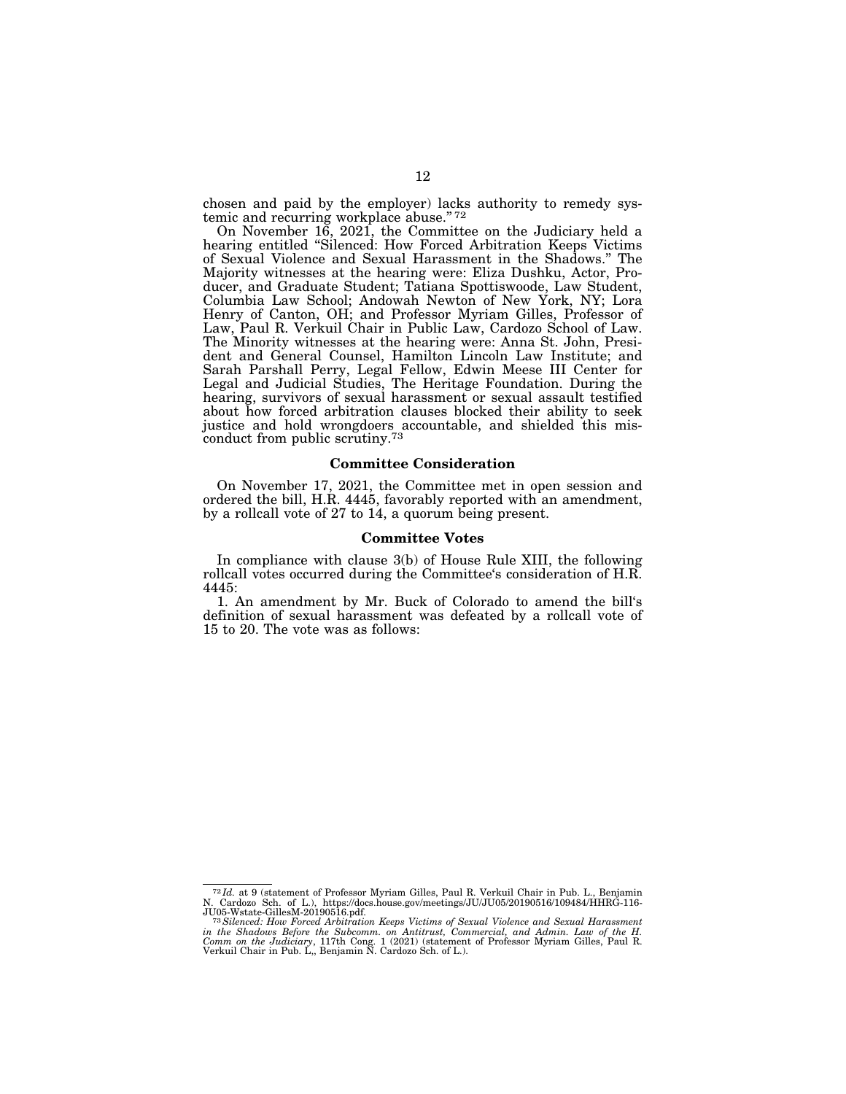chosen and paid by the employer) lacks authority to remedy systemic and recurring workplace abuse." 72

On November 16, 2021, the Committee on the Judiciary held a hearing entitled ''Silenced: How Forced Arbitration Keeps Victims of Sexual Violence and Sexual Harassment in the Shadows.'' The Majority witnesses at the hearing were: Eliza Dushku, Actor, Producer, and Graduate Student; Tatiana Spottiswoode, Law Student, Columbia Law School; Andowah Newton of New York, NY; Lora Henry of Canton, OH; and Professor Myriam Gilles, Professor of Law, Paul R. Verkuil Chair in Public Law, Cardozo School of Law. The Minority witnesses at the hearing were: Anna St. John, President and General Counsel, Hamilton Lincoln Law Institute; and Sarah Parshall Perry, Legal Fellow, Edwin Meese III Center for Legal and Judicial Studies, The Heritage Foundation. During the hearing, survivors of sexual harassment or sexual assault testified about how forced arbitration clauses blocked their ability to seek justice and hold wrongdoers accountable, and shielded this misconduct from public scrutiny.73

### **Committee Consideration**

On November 17, 2021, the Committee met in open session and ordered the bill, H.R. 4445, favorably reported with an amendment, by a rollcall vote of 27 to 14, a quorum being present.

#### **Committee Votes**

In compliance with clause 3(b) of House Rule XIII, the following rollcall votes occurred during the Committee's consideration of H.R. 4445:

1. An amendment by Mr. Buck of Colorado to amend the bill's definition of sexual harassment was defeated by a rollcall vote of 15 to 20. The vote was as follows:

<sup>72</sup> *Id.* at 9 (statement of Professor Myriam Gilles, Paul R. Verkuil Chair in Pub. L., Benjamin N. Cardozo Sch. of L.), https://docs.house.gov/meetings/JU/JU05/20190516/109484/HHRG-116-<br>JU05-Wstate-GillesM-20190516.pdf.<br><sup>73</sup>Silenced: How Forced Arbitration Keeps Victims of Sexual Violence and Sexual Harassment

in the Shadows Before the Subcomm. on Antitrust, Commercial, and Admin. Law of the H.<br>Comm on the Judiciary, 117th Cong. 1 (2021) (statement of Professor Myriam Gilles, Paul R.<br>Verkuil Chair in Pub. L., Benjamin N. Cardozo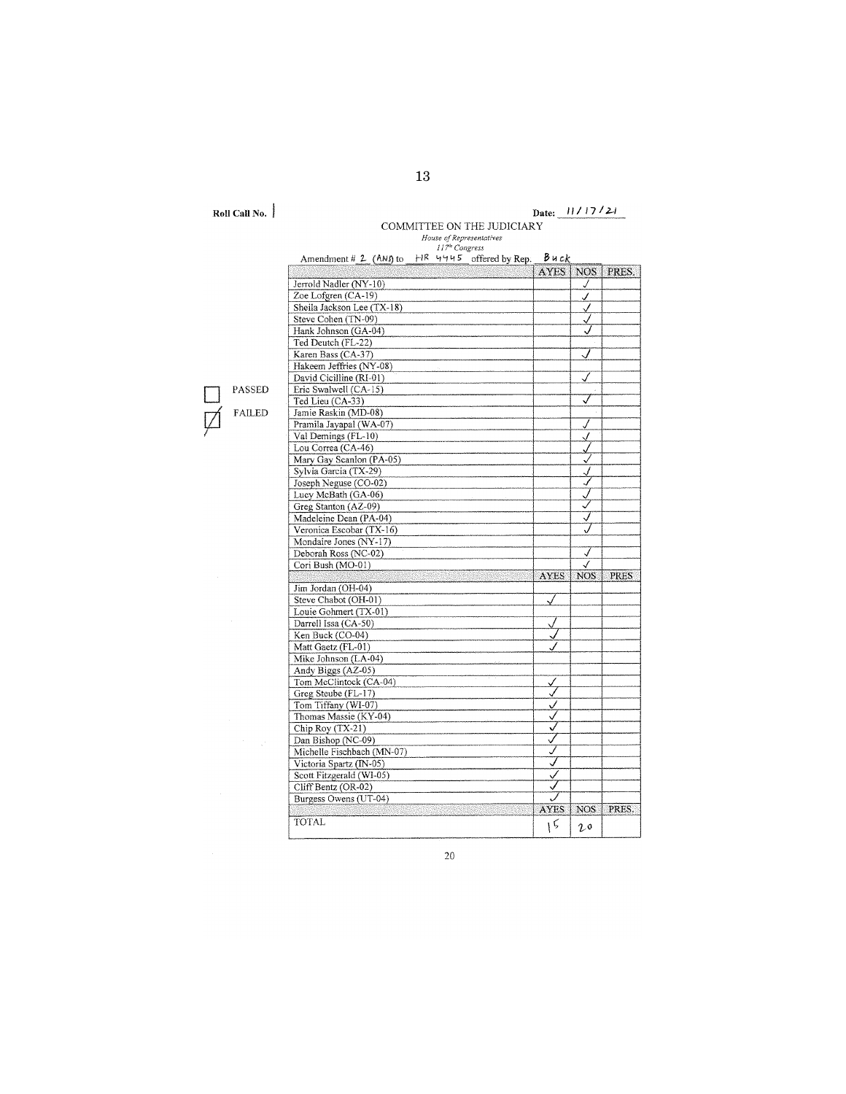**Roll Call No.** i

# **Date: II/ 1712-1**

COMMITTEE ON THE JUDICIARY

PASSED **ILED** 

 $\mathcal{I}^{\mathcal{I}}=\mathcal{A}^{\mathcal{I}}$ 

| Amendment # 2 (ANJ to $H^R$ 4445 offered by Rep. $B$ u ck |                |                  |             |
|-----------------------------------------------------------|----------------|------------------|-------------|
|                                                           | <b>AYES</b>    | NOS <sup>1</sup> | PRES.       |
| Jerrold Nadler (NY-10)                                    |                | J                |             |
| Zoe Lofgren (CA-19)                                       |                | J.               |             |
| Sheila Jackson Lee (TX-18)                                |                | √                |             |
| Steve Cohen (TN-09)                                       |                | √                |             |
| Hank Johnson (GA-04)                                      |                |                  |             |
| Ted Deutch (FL-22)                                        |                |                  |             |
| Karen Bass (CA-37)                                        |                |                  |             |
| Hakeem Jeffries (NY-08)                                   |                |                  |             |
| David Cicilline (RI-01)                                   |                |                  |             |
| Eric Swalwell (CA-15)                                     |                |                  |             |
| Ted Lieu (CA-33)                                          |                | √                |             |
| Jamie Raskin (MD-08)                                      |                |                  |             |
| Pramila Jayapal (WA-07)                                   |                | J                |             |
| Val Demings (FL-10)                                       |                | √                |             |
| Lou Correa (CA-46)                                        |                |                  |             |
| Mary Gay Scanlon (PA-05)                                  |                | √                |             |
| Sylvia Garcia (TX-29)                                     |                |                  |             |
| Joseph Neguse (CO-02)                                     |                | √                |             |
| Lucy McBath (GA-06)                                       |                |                  |             |
| Greg Stanton (AZ-09)                                      |                | ✓                |             |
| Madeleine Dean (PA-04)                                    |                | J                |             |
| Veronica Escobar (TX-16)                                  |                |                  |             |
| Mondaire Jones (NY-17)                                    |                |                  |             |
| Deborah Ross (NC-02)                                      |                | √                |             |
| Cori Bush (MO-01)                                         |                | √                |             |
|                                                           | AYES           | <b>NOS</b>       | <b>PRES</b> |
| Jim Jordan (OH-04)                                        |                |                  |             |
| Steve Chabot (OH-01)                                      |                |                  |             |
| Louie Gohmert (TX-01)                                     |                |                  |             |
| Darrell Issa (CA-50)                                      |                |                  |             |
| Ken Buck (CO-04)                                          |                |                  |             |
| Matt Gaetz (FL-01)                                        |                |                  |             |
| Mike Johnson (LA-04)                                      |                |                  |             |
| Andy Biggs (AZ-05)                                        |                |                  |             |
| Tom McClintock (CA-04)                                    | ✓              |                  |             |
| Greg Steube (FL-17)                                       | √              |                  |             |
| Tom Tiffany (WI-07)                                       | ✓              |                  |             |
| Thomas Massie (KY-04)                                     | $\checkmark$   |                  |             |
| Chip Roy (TX-21)                                          | ✓              |                  |             |
| Dan Bishop (NC-09)                                        | $\checkmark$   |                  |             |
| Michelle Fischbach (MN-07)                                | √              |                  |             |
| Victoria Spartz (IN-05)                                   | ⊽              |                  |             |
| Scott Fitzgerald (WI-05)                                  |                |                  |             |
| Cliff Bentz (OR-02)                                       | Ī              |                  |             |
| Burgess Owens (UT-04)                                     |                |                  |             |
|                                                           | <b>AYES</b>    | <b>NOS</b>       | PRES.       |
| TOTAL                                                     | $\mathfrak{g}$ | 20               |             |

20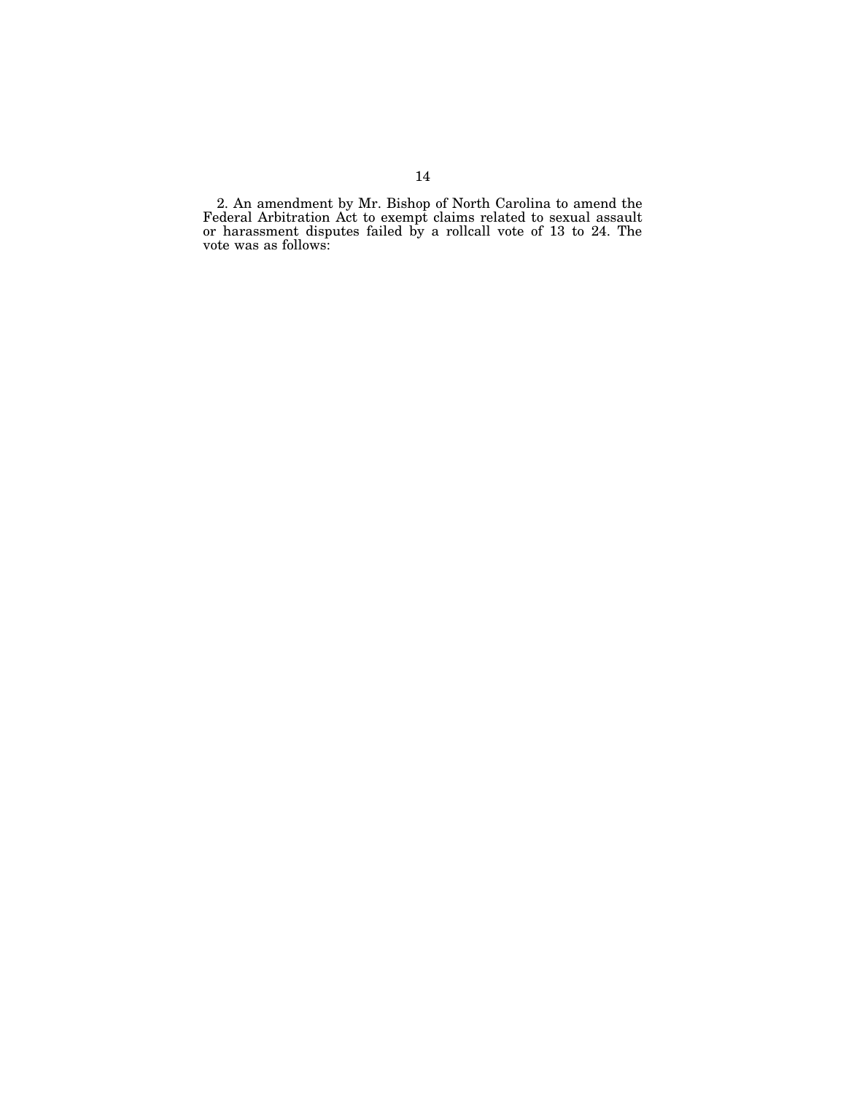2. An amendment by Mr. Bishop of North Carolina to amend the Federal Arbitration Act to exempt claims related to sexual assault or harassment disputes failed by a rollcall vote of 13 to 24. The vote was as follows: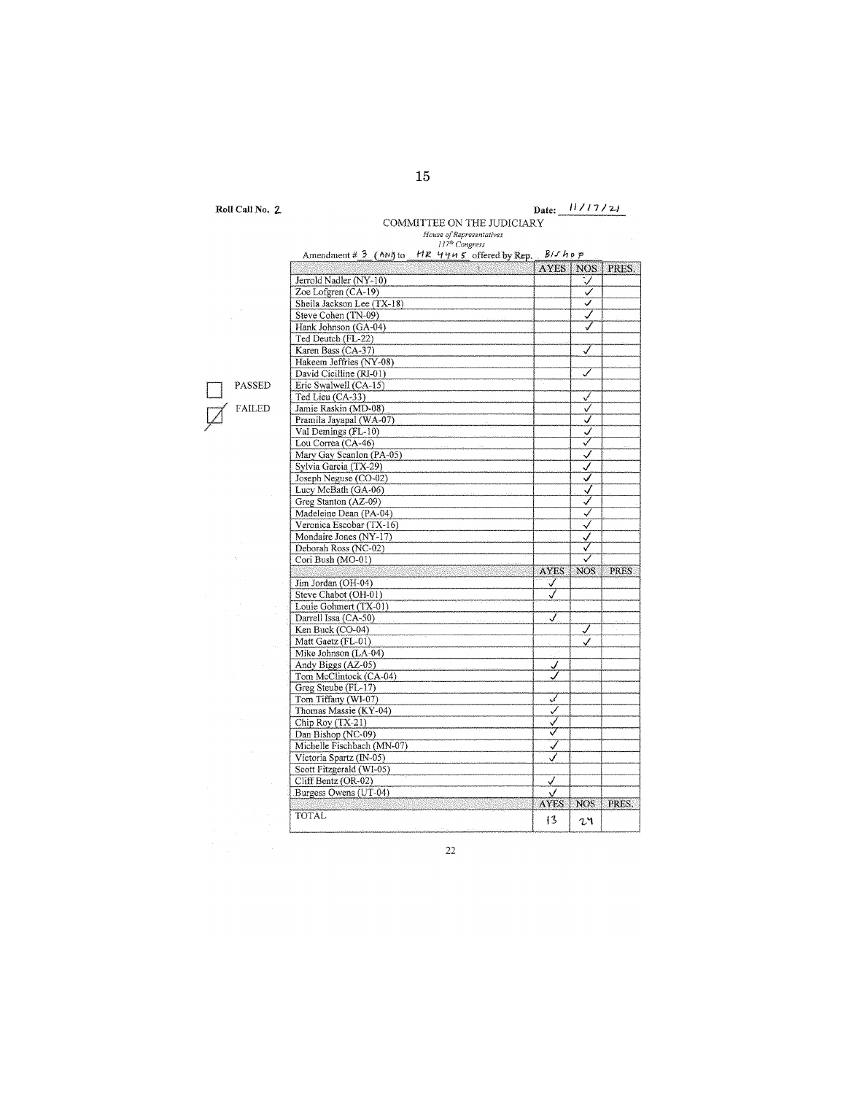**Roll Call No. 2.** 

# Date:  $\frac{11}{12}$ COMMITTEE ON THE JUDICIARY

| Q.                         | <b>AYES</b> | <b>NOS</b> |
|----------------------------|-------------|------------|
| Jerrold Nadler (NY-10)     |             | ✓          |
| Zoe Lofgren (CA-19)        |             | ✓          |
| Sheila Jackson Lee (TX-18) |             | ✓          |
| Steve Cohen (TN-09)        |             | Ī          |
| Hank Johnson (GA-04)       |             |            |
| Ted Deutch (FL-22)         |             |            |
| Karen Bass (CA-37)         |             | J          |
| Hakeem Jeffries (NY-08)    |             |            |
| David Cicilline (RI-01)    |             |            |
| Eric Swalwell (CA-15)      |             |            |
| Ted Lieu (CA-33)           |             | ✓          |
| Jamie Raskin (MD-08)       |             | √          |
| Pramila Jayapal (WA-07)    |             | ✓          |
| Val Demings (FL-10)        |             | ✓          |
| Lou Correa (CA-46)         |             | J          |
| Mary Gay Scanlon (PA-05)   |             | ✓          |
| Sylvia Garcia (TX-29)      |             | ✓          |
| Joseph Neguse (CO-02)      |             | ✓          |
| Lucy McBath (GA-06)        |             | √          |
| Greg Stanton (AZ-09)       |             | ✓          |
| Madeleine Dean (PA-04)     |             | ✓          |
| Veronica Escobar (TX-16)   |             | ✓          |
| Mondaire Jones (NY-17)     |             | ✓          |
| Deborah Ross (NC-02)       |             |            |
| Cori Bush (MO-01)          |             | ▽          |
|                            | <b>AYES</b> | <b>NOS</b> |
| Jim Jordan (OH-04)         | ✓           |            |
| Steve Chabot (OH-01)       | J           |            |
| Louie Gohmert (TX-01)      |             |            |
| Darrell Issa (CA-50)       | J           |            |
| Ken Buck (CO-04)           |             | J          |
| Matt Gaetz (FL-01)         |             | ✓          |
| Mike Johnson (LA-04)       |             |            |
| Andy Biggs (AZ-05)         | ✓           |            |
| Tom McClintock (CA-04)     |             |            |
| Greg Steube (FL-17)        |             |            |
| Tom Tiffany (WI-07)        | ✓           |            |
| Thomas Massie (KY-04)      | ✓           |            |
| Chip Roy (TX-21)           | ✓           |            |
| Dan Bishop (NC-09)         | ⊽           |            |
| Michelle Fischbach (MN-07) | ✓           |            |
| Victoria Spartz (IN-05)    |             |            |
| Scott Fitzgerald (WI-05)   |             |            |
| Cliff Bentz (OR-02)        | ✓           |            |
| Burgess Owens (UT-04)      |             |            |
|                            |             | <b>NOS</b> |
|                            | <b>AYES</b> |            |

PASS

 $\overline{\cancel{\mu}}$  $FAI$ 

22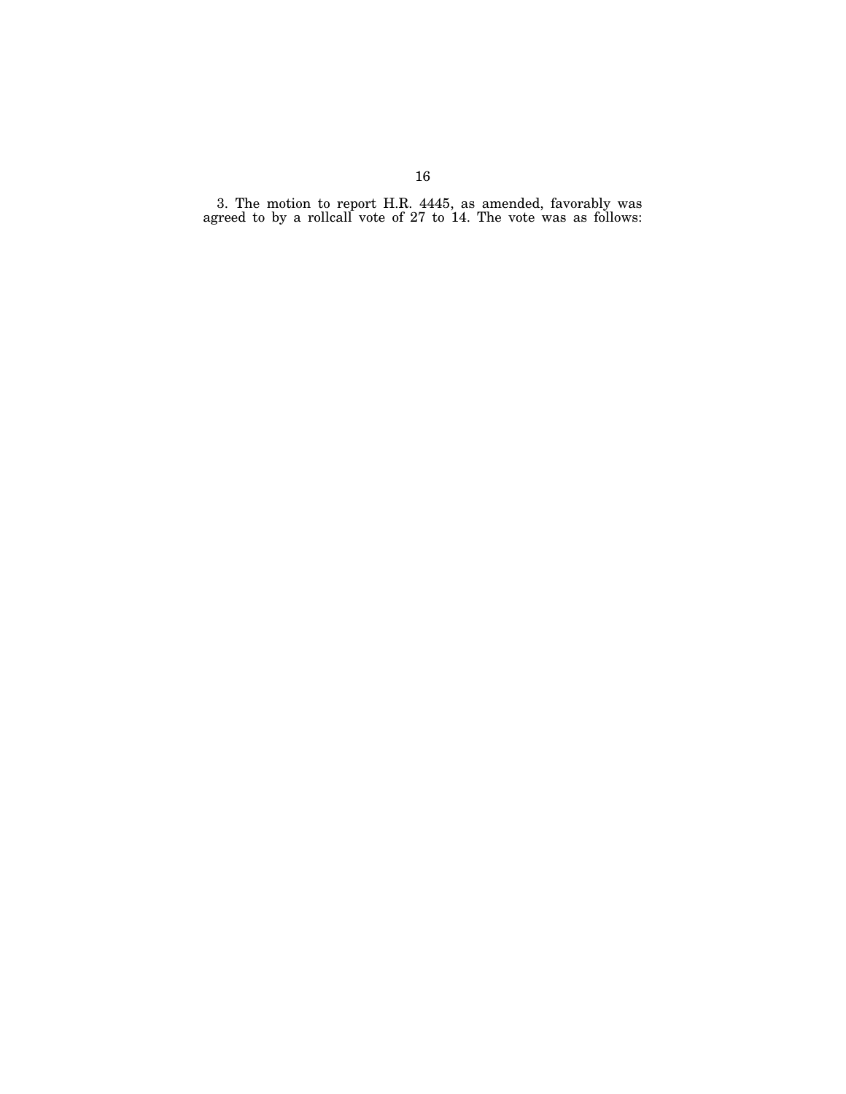3. The motion to report H.R. 4445, as amended, favorably was agreed to by a rollcall vote of 27 to 14. The vote was as follows: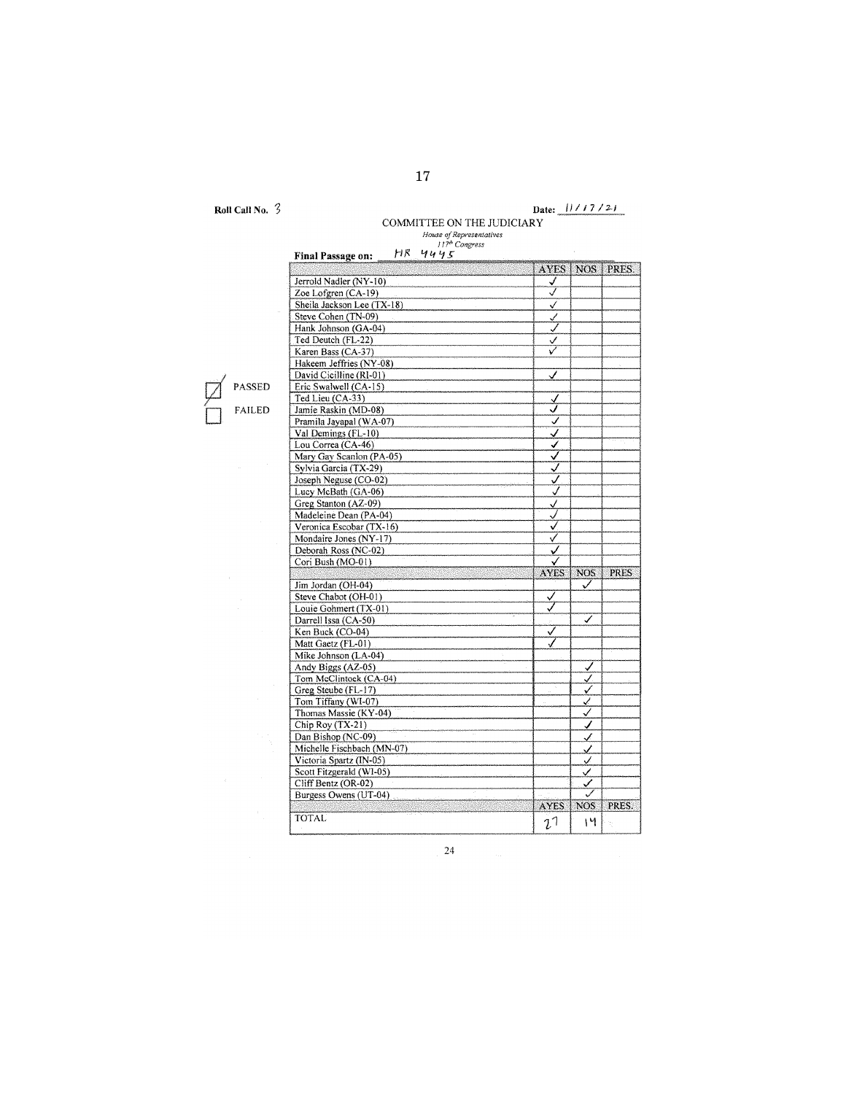**Roll Call No.**  $\overline{3}$ 

# **Date:** I I I *I* 7 I *:2./*

COMMITTEE ON THE JUDICIARY

17

|                            | <b>AYES</b>  | NO <sub>S</sub>      | PRES.                |
|----------------------------|--------------|----------------------|----------------------|
| Jerrold Nadler (NY-10)     | ✓<br>√       |                      |                      |
| Zoe Lofgren (CA-19)        |              |                      |                      |
| Sheila Jackson Lee (TX-18) | √            |                      |                      |
| Steve Cohen (TN-09)        | ✓            |                      |                      |
| Hank Johnson (GA-04)       | ℳ            |                      |                      |
| Ted Deutch (FL-22)         | ✓            |                      |                      |
| Karen Bass (CA-37)         | ✓            |                      |                      |
| Hakeem Jeffries (NY-08)    |              |                      |                      |
| David Cicilline (RI-01)    | ✓            |                      |                      |
| Eric Swalwell (CA-15)      |              |                      |                      |
| Ted Lieu (CA-33)           | √            |                      |                      |
| Jamie Raskin (MD-08)       | ✓            |                      |                      |
| Pramila Jayapal (WA-07)    | ✓            |                      |                      |
| Val Demings (FL-10)        | ✓            |                      |                      |
| Lou Correa (CA-46)         | ✔            |                      |                      |
| Mary Gay Scanlon (PA-05)   | ✓            |                      |                      |
| Sylvia Garcia (TX-29)      | ✓            |                      |                      |
| Joseph Neguse (CO-02)      | ✓            |                      |                      |
| Lucy McBath (GA-06)        | √            |                      |                      |
| Greg Stanton (AZ-09)       | $\checkmark$ |                      |                      |
| Madeleine Dean (PA-04)     | J            |                      |                      |
| Veronica Escobar (TX-16)   | V            |                      |                      |
| Mondaire Jones (NY-17)     | ✓            |                      |                      |
| Deborah Ross (NC-02)       | ✓            |                      |                      |
| Cori Bush (MO-01)          | ✓            |                      |                      |
|                            |              |                      |                      |
|                            |              |                      |                      |
|                            | <b>AYES</b>  | <b>NOS</b>           |                      |
| Jim Jordan (OH-04)         |              | ✓                    |                      |
| Steve Chabot (OH-01)       | ✓            |                      |                      |
| Louie Gohmert (TX-01)      | ✓            |                      |                      |
| Darrell Issa (CA-50)       |              | ✓                    |                      |
| Ken Buck (CO-04)           | ✓            |                      |                      |
| Matt Gaetz (FL-01)         |              |                      |                      |
| Mike Johnson (LA-04)       |              |                      |                      |
| Andy Biggs (AZ-05)         |              | У                    |                      |
| Tom McClintock (CA-04)     |              | Š.                   |                      |
| Greg Steube (FL-17)        |              | ✓                    |                      |
| Tom Tiffany (WI-07)        |              | ✓                    |                      |
| Thomas Massie (KY-04)      |              | ✓                    |                      |
|                            |              | ✓                    |                      |
| Chip Roy (TX-21)           |              |                      |                      |
| Dan Bishop (NC-09)         |              | ✓                    |                      |
| Michelle Fischbach (MN-07) |              | ✓                    |                      |
| Victoria Spartz (IN-05)    |              | ⊻                    |                      |
| Scott Fitzgerald (WI-05)   |              | ⊻                    |                      |
| Cliff Bentz (OR-02)        |              | ✓                    |                      |
| Burgess Owens (UT-04)      | <b>AYES</b>  | ✓<br>NOS <sup></sup> | <b>PRES</b><br>PRES. |

PASSED

24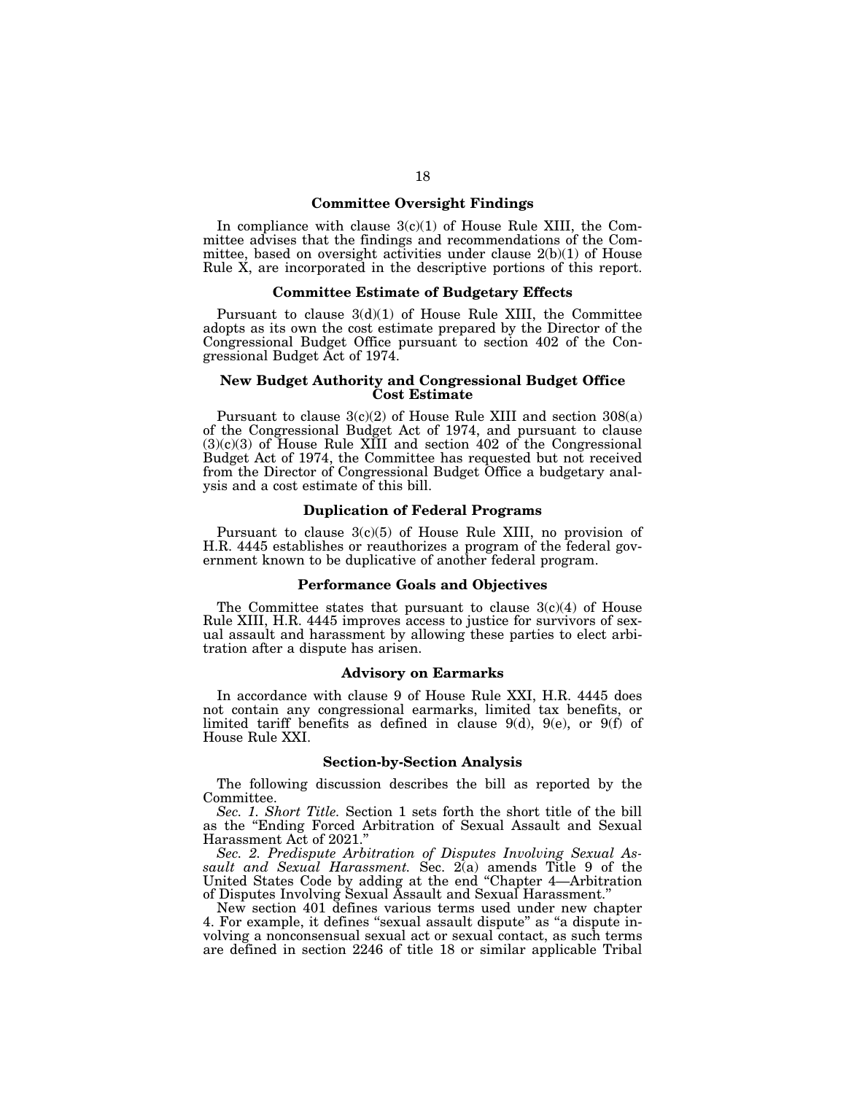#### **Committee Oversight Findings**

In compliance with clause  $3(c)(1)$  of House Rule XIII, the Committee advises that the findings and recommendations of the Committee, based on oversight activities under clause 2(b)(1) of House Rule X, are incorporated in the descriptive portions of this report.

#### **Committee Estimate of Budgetary Effects**

Pursuant to clause  $3(d)(1)$  of House Rule XIII, the Committee adopts as its own the cost estimate prepared by the Director of the Congressional Budget Office pursuant to section 402 of the Congressional Budget Act of 1974.

#### **New Budget Authority and Congressional Budget Office Cost Estimate**

Pursuant to clause 3(c)(2) of House Rule XIII and section 308(a) of the Congressional Budget Act of 1974, and pursuant to clause  $(3)(c)(3)$  of House Rule XIII and section 402 of the Congressional Budget Act of 1974, the Committee has requested but not received from the Director of Congressional Budget Office a budgetary analysis and a cost estimate of this bill.

#### **Duplication of Federal Programs**

Pursuant to clause 3(c)(5) of House Rule XIII, no provision of H.R. 4445 establishes or reauthorizes a program of the federal government known to be duplicative of another federal program.

#### **Performance Goals and Objectives**

The Committee states that pursuant to clause  $3(c)(4)$  of House Rule XIII, H.R. 4445 improves access to justice for survivors of sexual assault and harassment by allowing these parties to elect arbitration after a dispute has arisen.

#### **Advisory on Earmarks**

In accordance with clause 9 of House Rule XXI, H.R. 4445 does not contain any congressional earmarks, limited tax benefits, or limited tariff benefits as defined in clause  $9(d)$ ,  $9(e)$ , or  $9(f)$  of House Rule XXI.

#### **Section-by-Section Analysis**

The following discussion describes the bill as reported by the Committee.

*Sec. 1. Short Title.* Section 1 sets forth the short title of the bill as the ''Ending Forced Arbitration of Sexual Assault and Sexual Harassment Act of 2021.''

*Sec. 2. Predispute Arbitration of Disputes Involving Sexual Assault and Sexual Harassment.* Sec. 2(a) amends Title 9 of the United States Code by adding at the end ''Chapter 4—Arbitration of Disputes Involving Sexual Assault and Sexual Harassment.''

New section 401 defines various terms used under new chapter 4. For example, it defines ''sexual assault dispute'' as ''a dispute involving a nonconsensual sexual act or sexual contact, as such terms are defined in section 2246 of title 18 or similar applicable Tribal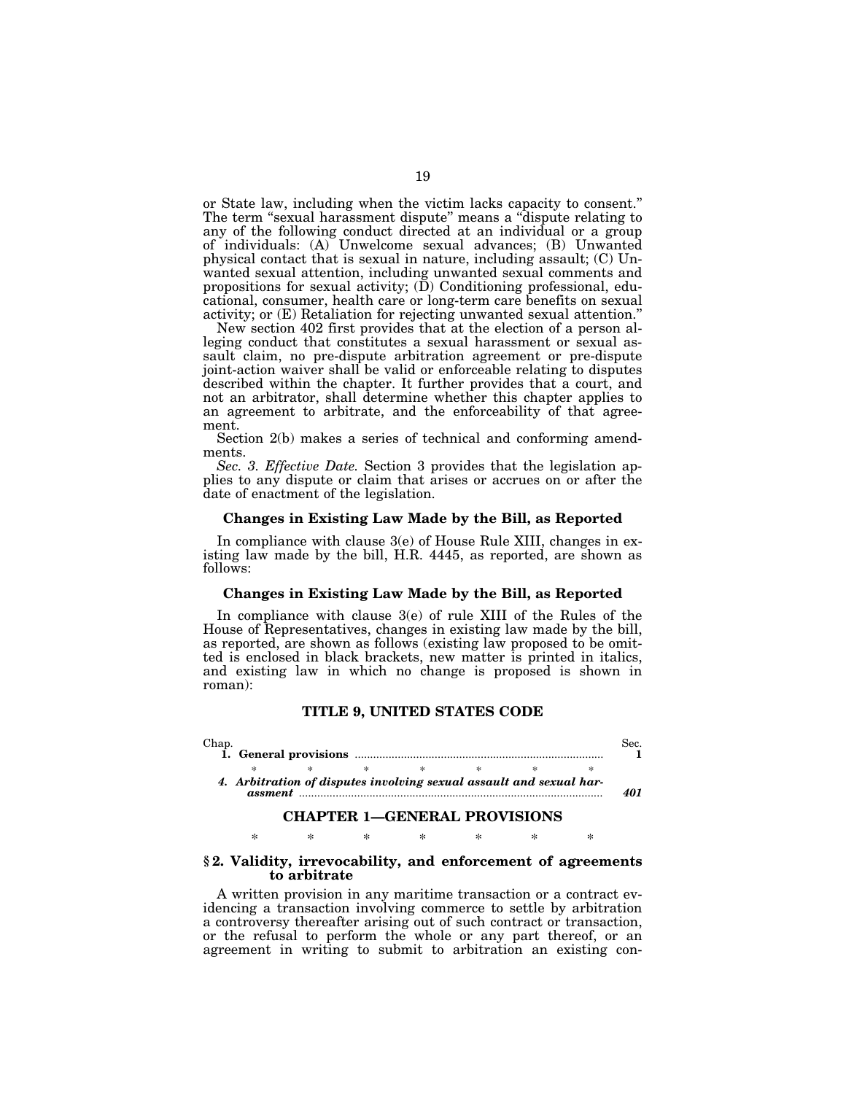or State law, including when the victim lacks capacity to consent.'' The term ''sexual harassment dispute'' means a ''dispute relating to any of the following conduct directed at an individual or a group of individuals: (A) Unwelcome sexual advances; (B) Unwanted physical contact that is sexual in nature, including assault; (C) Unwanted sexual attention, including unwanted sexual comments and propositions for sexual activity;  $(\bar{D})$  Conditioning professional, educational, consumer, health care or long-term care benefits on sexual activity; or (E) Retaliation for rejecting unwanted sexual attention.''

New section 402 first provides that at the election of a person alleging conduct that constitutes a sexual harassment or sexual assault claim, no pre-dispute arbitration agreement or pre-dispute joint-action waiver shall be valid or enforceable relating to disputes described within the chapter. It further provides that a court, and not an arbitrator, shall determine whether this chapter applies to an agreement to arbitrate, and the enforceability of that agreement.

Section 2(b) makes a series of technical and conforming amendments.

*Sec. 3. Effective Date.* Section 3 provides that the legislation applies to any dispute or claim that arises or accrues on or after the date of enactment of the legislation.

#### **Changes in Existing Law Made by the Bill, as Reported**

In compliance with clause 3(e) of House Rule XIII, changes in existing law made by the bill, H.R. 4445, as reported, are shown as follows:

#### **Changes in Existing Law Made by the Bill, as Reported**

In compliance with clause 3(e) of rule XIII of the Rules of the House of Representatives, changes in existing law made by the bill, as reported, are shown as follows (existing law proposed to be omitted is enclosed in black brackets, new matter is printed in italics, and existing law in which no change is proposed is shown in roman):

#### **TITLE 9, UNITED STATES CODE**

|  |  | 4. Arbitration of disputes involving sexual assault and sexual har- |  |  |
|--|--|---------------------------------------------------------------------|--|--|

#### **CHAPTER 1—GENERAL PROVISIONS**

\* \* \* \* \* \* \*

#### **§ 2. Validity, irrevocability, and enforcement of agreements to arbitrate**

A written provision in any maritime transaction or a contract evidencing a transaction involving commerce to settle by arbitration a controversy thereafter arising out of such contract or transaction, or the refusal to perform the whole or any part thereof, or an agreement in writing to submit to arbitration an existing con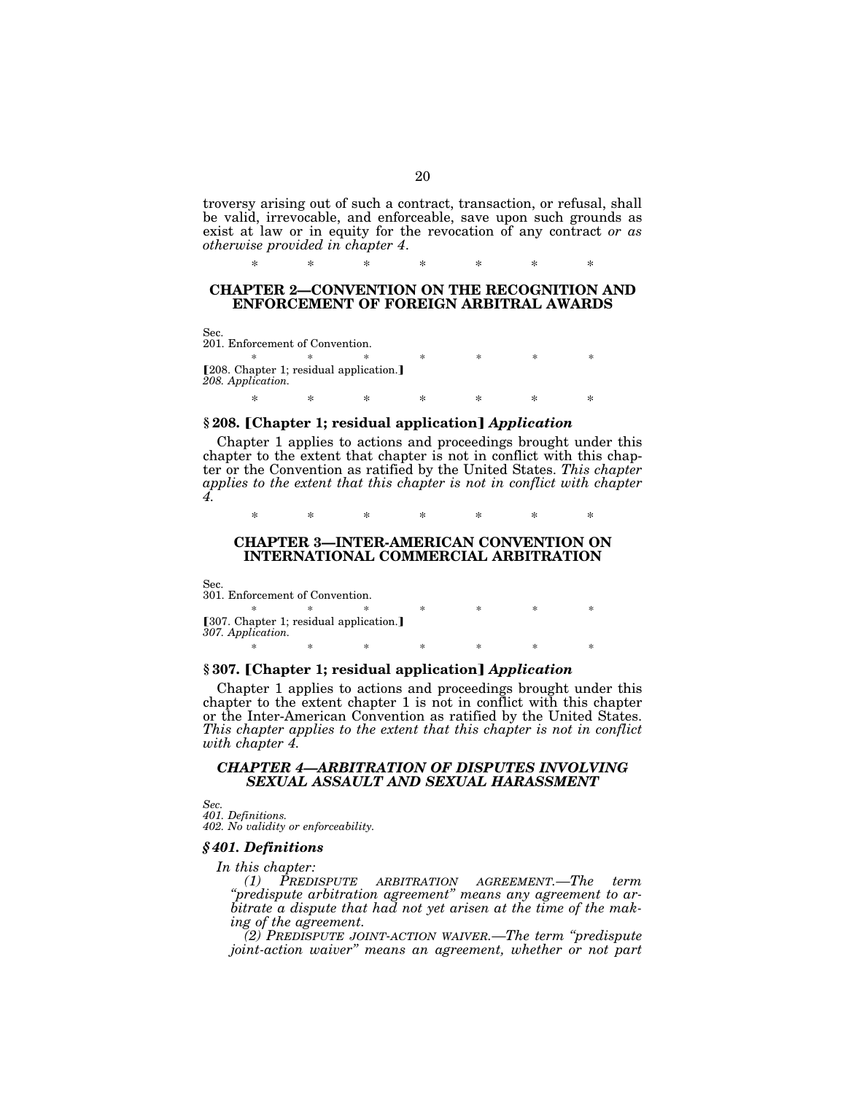troversy arising out of such a contract, transaction, or refusal, shall be valid, irrevocable, and enforceable, save upon such grounds as exist at law or in equity for the revocation of any contract *or as otherwise provided in chapter 4*.

### **CHAPTER 2—CONVENTION ON THE RECOGNITION AND ENFORCEMENT OF FOREIGN ARBITRAL AWARDS**

\* \* \* \* \* \* \*

Sec. 201. Enforcement of Convention.

\* \* \* \* \* \* \* \* [208. Chapter 1; residual application.] *208. Application.* 

## \* \* \* \* \* \* \* § 208. [Chapter 1; residual application] *Application*

Chapter 1 applies to actions and proceedings brought under this chapter to the extent that chapter is not in conflict with this chapter or the Convention as ratified by the United States. *This chapter applies to the extent that this chapter is not in conflict with chapter 4.* 

\* \* \* \* \* \* \*

#### **CHAPTER 3—INTER-AMERICAN CONVENTION ON INTERNATIONAL COMMERCIAL ARBITRATION**

Sec.

301. Enforcement of Convention. \* \* \* \* \* \* \* \* [307. Chapter 1; residual application.] *307. Application.*  \* \* \* \* \* \* \* \*

### § 307. [Chapter 1; residual application] *Application*

Chapter 1 applies to actions and proceedings brought under this chapter to the extent chapter 1 is not in conflict with this chapter or the Inter-American Convention as ratified by the United States. *This chapter applies to the extent that this chapter is not in conflict with chapter 4.* 

### *CHAPTER 4—ARBITRATION OF DISPUTES INVOLVING SEXUAL ASSAULT AND SEXUAL HARASSMENT*

*Sec.* 

*401. Definitions. 402. No validity or enforceability.* 

#### *§ 401. Definitions*

*In this chapter:* 

*(1) PREDISPUTE ARBITRATION AGREEMENT.—The term ''predispute arbitration agreement'' means any agreement to arbitrate a dispute that had not yet arisen at the time of the making of the agreement.* 

*(2) PREDISPUTE JOINT-ACTION WAIVER.—The term ''predispute joint-action waiver'' means an agreement, whether or not part*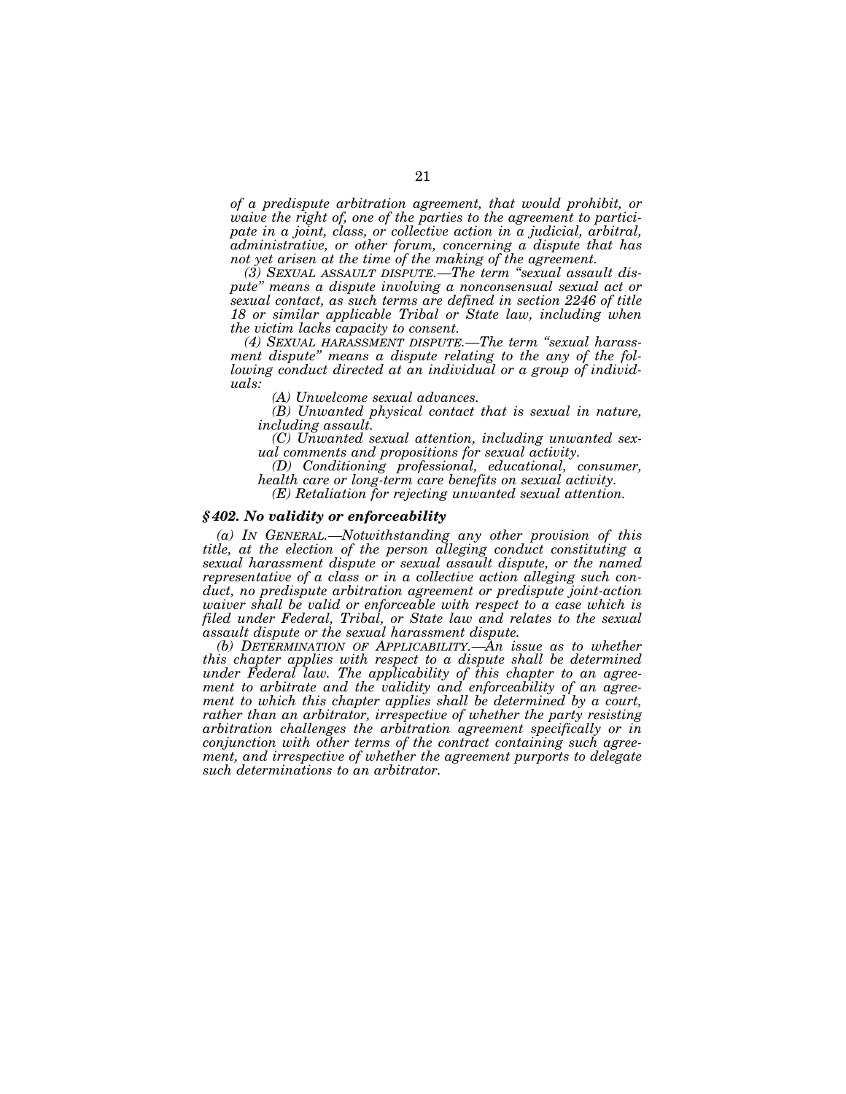*of a predispute arbitration agreement, that would prohibit, or waive the right of, one of the parties to the agreement to participate in a joint, class, or collective action in a judicial, arbitral, administrative, or other forum, concerning a dispute that has not yet arisen at the time of the making of the agreement.* 

*(3) SEXUAL ASSAULT DISPUTE.—The term ''sexual assault dispute'' means a dispute involving a nonconsensual sexual act or sexual contact, as such terms are defined in section 2246 of title 18 or similar applicable Tribal or State law, including when the victim lacks capacity to consent.* 

*(4) SEXUAL HARASSMENT DISPUTE.—The term ''sexual harassment dispute'' means a dispute relating to the any of the following conduct directed at an individual or a group of individuals:* 

*(A) Unwelcome sexual advances.* 

*(B) Unwanted physical contact that is sexual in nature, including assault.* 

*(C) Unwanted sexual attention, including unwanted sexual comments and propositions for sexual activity.* 

*(D) Conditioning professional, educational, consumer, health care or long-term care benefits on sexual activity.* 

*(E) Retaliation for rejecting unwanted sexual attention.* 

#### *§ 402. No validity or enforceability*

*(a) IN GENERAL.—Notwithstanding any other provision of this title, at the election of the person alleging conduct constituting a sexual harassment dispute or sexual assault dispute, or the named representative of a class or in a collective action alleging such conduct, no predispute arbitration agreement or predispute joint-action waiver shall be valid or enforceable with respect to a case which is filed under Federal, Tribal, or State law and relates to the sexual assault dispute or the sexual harassment dispute.* 

*(b) DETERMINATION OF APPLICABILITY.—An issue as to whether this chapter applies with respect to a dispute shall be determined under Federal law. The applicability of this chapter to an agreement to arbitrate and the validity and enforceability of an agreement to which this chapter applies shall be determined by a court, rather than an arbitrator, irrespective of whether the party resisting arbitration challenges the arbitration agreement specifically or in conjunction with other terms of the contract containing such agreement, and irrespective of whether the agreement purports to delegate such determinations to an arbitrator.*